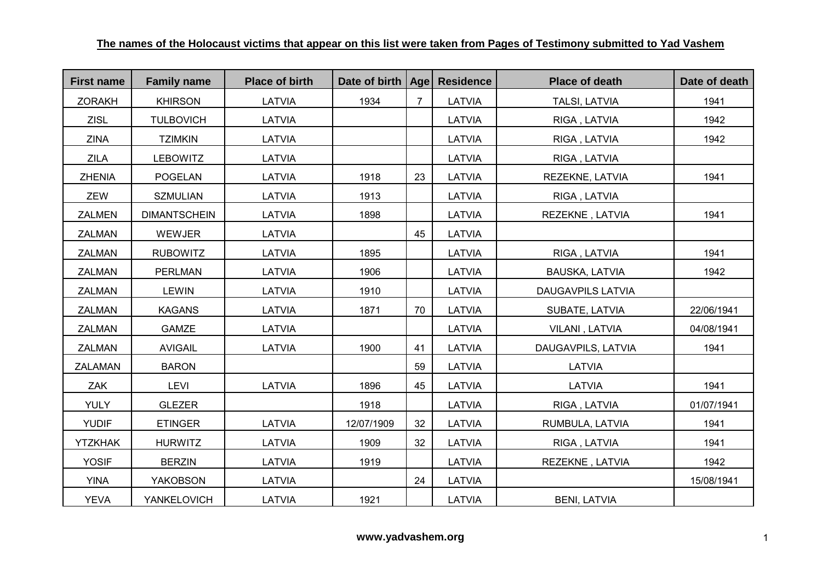| <b>First name</b> | <b>Family name</b>  | <b>Place of birth</b> | Date of birth   Age |                | <b>Residence</b> | <b>Place of death</b>    | Date of death |
|-------------------|---------------------|-----------------------|---------------------|----------------|------------------|--------------------------|---------------|
| <b>ZORAKH</b>     | <b>KHIRSON</b>      | LATVIA                | 1934                | $\overline{7}$ | LATVIA           | <b>TALSI, LATVIA</b>     | 1941          |
| <b>ZISL</b>       | <b>TULBOVICH</b>    | <b>LATVIA</b>         |                     |                | <b>LATVIA</b>    | RIGA, LATVIA             | 1942          |
| <b>ZINA</b>       | <b>TZIMKIN</b>      | LATVIA                |                     |                | LATVIA           | RIGA, LATVIA             | 1942          |
| <b>ZILA</b>       | <b>LEBOWITZ</b>     | LATVIA                |                     |                | LATVIA           | RIGA, LATVIA             |               |
| <b>ZHENIA</b>     | <b>POGELAN</b>      | LATVIA                | 1918                | 23             | LATVIA           | REZEKNE, LATVIA          | 1941          |
| ZEW               | <b>SZMULIAN</b>     | LATVIA                | 1913                |                | LATVIA           | RIGA, LATVIA             |               |
| <b>ZALMEN</b>     | <b>DIMANTSCHEIN</b> | LATVIA                | 1898                |                | LATVIA           | REZEKNE, LATVIA          | 1941          |
| ZALMAN            | WEWJER              | LATVIA                |                     | 45             | LATVIA           |                          |               |
| ZALMAN            | <b>RUBOWITZ</b>     | LATVIA                | 1895                |                | LATVIA           | RIGA, LATVIA             | 1941          |
| ZALMAN            | <b>PERLMAN</b>      | LATVIA                | 1906                |                | LATVIA           | BAUSKA, LATVIA           | 1942          |
| <b>ZALMAN</b>     | <b>LEWIN</b>        | LATVIA                | 1910                |                | LATVIA           | <b>DAUGAVPILS LATVIA</b> |               |
| <b>ZALMAN</b>     | <b>KAGANS</b>       | LATVIA                | 1871                | 70             | LATVIA           | SUBATE, LATVIA           | 22/06/1941    |
| <b>ZALMAN</b>     | <b>GAMZE</b>        | LATVIA                |                     |                | LATVIA           | VILANI, LATVIA           | 04/08/1941    |
| ZALMAN            | <b>AVIGAIL</b>      | <b>LATVIA</b>         | 1900                | 41             | LATVIA           | DAUGAVPILS, LATVIA       | 1941          |
| <b>ZALAMAN</b>    | <b>BARON</b>        |                       |                     | 59             | LATVIA           | <b>LATVIA</b>            |               |
| ZAK               | <b>LEVI</b>         | LATVIA                | 1896                | 45             | LATVIA           | <b>LATVIA</b>            | 1941          |
| <b>YULY</b>       | <b>GLEZER</b>       |                       | 1918                |                | LATVIA           | RIGA, LATVIA             | 01/07/1941    |
| <b>YUDIF</b>      | <b>ETINGER</b>      | LATVIA                | 12/07/1909          | 32             | LATVIA           | RUMBULA, LATVIA          | 1941          |
| <b>YTZKHAK</b>    | <b>HURWITZ</b>      | LATVIA                | 1909                | 32             | LATVIA           | RIGA, LATVIA             | 1941          |
| <b>YOSIF</b>      | <b>BERZIN</b>       | LATVIA                | 1919                |                | LATVIA           | REZEKNE, LATVIA          | 1942          |
| <b>YINA</b>       | YAKOBSON            | LATVIA                |                     | 24             | LATVIA           |                          | 15/08/1941    |
| <b>YEVA</b>       | YANKELOVICH         | LATVIA                | 1921                |                | LATVIA           | <b>BENI, LATVIA</b>      |               |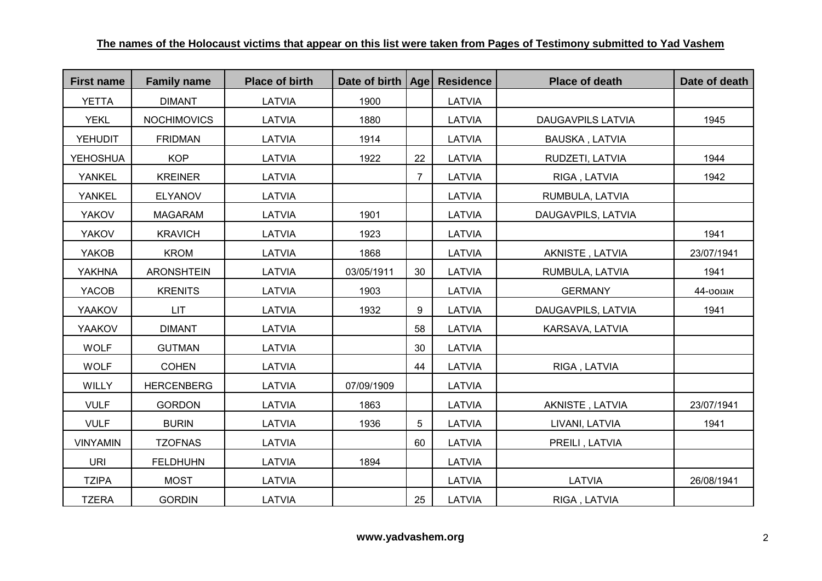| <b>First name</b> | <b>Family name</b> | <b>Place of birth</b> | Date of birth   Age |                | <b>Residence</b> | <b>Place of death</b>    | Date of death |
|-------------------|--------------------|-----------------------|---------------------|----------------|------------------|--------------------------|---------------|
| <b>YETTA</b>      | <b>DIMANT</b>      | LATVIA                | 1900                |                | LATVIA           |                          |               |
| <b>YEKL</b>       | <b>NOCHIMOVICS</b> | LATVIA                | 1880                |                | LATVIA           | <b>DAUGAVPILS LATVIA</b> | 1945          |
| <b>YEHUDIT</b>    | <b>FRIDMAN</b>     | LATVIA                | 1914                |                | LATVIA           | <b>BAUSKA, LATVIA</b>    |               |
| <b>YEHOSHUA</b>   | <b>KOP</b>         | LATVIA                | 1922                | 22             | LATVIA           | RUDZETI, LATVIA          | 1944          |
| <b>YANKEL</b>     | <b>KREINER</b>     | LATVIA                |                     | $\overline{7}$ | LATVIA           | RIGA, LATVIA             | 1942          |
| <b>YANKEL</b>     | <b>ELYANOV</b>     | LATVIA                |                     |                | LATVIA           | RUMBULA, LATVIA          |               |
| <b>YAKOV</b>      | <b>MAGARAM</b>     | <b>LATVIA</b>         | 1901                |                | LATVIA           | DAUGAVPILS, LATVIA       |               |
| <b>YAKOV</b>      | <b>KRAVICH</b>     | LATVIA                | 1923                |                | LATVIA           |                          | 1941          |
| YAKOB             | <b>KROM</b>        | LATVIA                | 1868                |                | LATVIA           | AKNISTE, LATVIA          | 23/07/1941    |
| <b>YAKHNA</b>     | <b>ARONSHTEIN</b>  | LATVIA                | 03/05/1911          | 30             | LATVIA           | RUMBULA, LATVIA          | 1941          |
| YACOB             | <b>KRENITS</b>     | LATVIA                | 1903                |                | LATVIA           | <b>GERMANY</b>           | אוגוסט-44     |
| <b>YAAKOV</b>     | <b>LIT</b>         | LATVIA                | 1932                | 9              | LATVIA           | DAUGAVPILS, LATVIA       | 1941          |
| <b>YAAKOV</b>     | <b>DIMANT</b>      | <b>LATVIA</b>         |                     | 58             | LATVIA           | KARSAVA, LATVIA          |               |
| <b>WOLF</b>       | <b>GUTMAN</b>      | LATVIA                |                     | 30             | LATVIA           |                          |               |
| <b>WOLF</b>       | <b>COHEN</b>       | LATVIA                |                     | 44             | LATVIA           | RIGA, LATVIA             |               |
| <b>WILLY</b>      | <b>HERCENBERG</b>  | LATVIA                | 07/09/1909          |                | LATVIA           |                          |               |
| <b>VULF</b>       | <b>GORDON</b>      | LATVIA                | 1863                |                | LATVIA           | AKNISTE, LATVIA          | 23/07/1941    |
| <b>VULF</b>       | <b>BURIN</b>       | LATVIA                | 1936                | 5              | LATVIA           | LIVANI, LATVIA           | 1941          |
| <b>VINYAMIN</b>   | <b>TZOFNAS</b>     | <b>LATVIA</b>         |                     | 60             | LATVIA           | PREILI, LATVIA           |               |
| <b>URI</b>        | <b>FELDHUHN</b>    | LATVIA                | 1894                |                | LATVIA           |                          |               |
| <b>TZIPA</b>      | <b>MOST</b>        | LATVIA                |                     |                | LATVIA           | LATVIA                   | 26/08/1941    |
| <b>TZERA</b>      | <b>GORDIN</b>      | LATVIA                |                     | 25             | LATVIA           | RIGA, LATVIA             |               |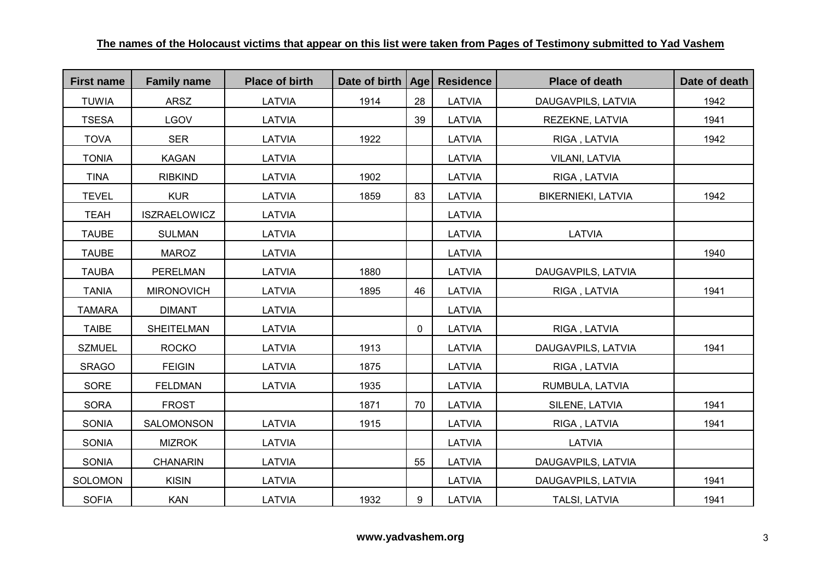| <b>First name</b> | <b>Family name</b>  | <b>Place of birth</b> | Date of birth   Age |              | <b>Residence</b> | <b>Place of death</b>     | Date of death |
|-------------------|---------------------|-----------------------|---------------------|--------------|------------------|---------------------------|---------------|
| <b>TUWIA</b>      | <b>ARSZ</b>         | LATVIA                | 1914                | 28           | <b>LATVIA</b>    | DAUGAVPILS, LATVIA        | 1942          |
| <b>TSESA</b>      | <b>LGOV</b>         | LATVIA                |                     | 39           | <b>LATVIA</b>    | REZEKNE, LATVIA           | 1941          |
| <b>TOVA</b>       | <b>SER</b>          | LATVIA                | 1922                |              | LATVIA           | RIGA, LATVIA              | 1942          |
| <b>TONIA</b>      | <b>KAGAN</b>        | LATVIA                |                     |              | LATVIA           | <b>VILANI, LATVIA</b>     |               |
| <b>TINA</b>       | <b>RIBKIND</b>      | LATVIA                | 1902                |              | LATVIA           | RIGA, LATVIA              |               |
| <b>TEVEL</b>      | <b>KUR</b>          | LATVIA                | 1859                | 83           | LATVIA           | <b>BIKERNIEKI, LATVIA</b> | 1942          |
| <b>TEAH</b>       | <b>ISZRAELOWICZ</b> | LATVIA                |                     |              | LATVIA           |                           |               |
| <b>TAUBE</b>      | <b>SULMAN</b>       | LATVIA                |                     |              | LATVIA           | <b>LATVIA</b>             |               |
| <b>TAUBE</b>      | <b>MAROZ</b>        | LATVIA                |                     |              | LATVIA           |                           | 1940          |
| <b>TAUBA</b>      | <b>PERELMAN</b>     | LATVIA                | 1880                |              | LATVIA           | DAUGAVPILS, LATVIA        |               |
| <b>TANIA</b>      | <b>MIRONOVICH</b>   | LATVIA                | 1895                | 46           | LATVIA           | RIGA, LATVIA              | 1941          |
| <b>TAMARA</b>     | <b>DIMANT</b>       | LATVIA                |                     |              | LATVIA           |                           |               |
| <b>TAIBE</b>      | <b>SHEITELMAN</b>   | LATVIA                |                     | $\mathbf{0}$ | LATVIA           | RIGA, LATVIA              |               |
| <b>SZMUEL</b>     | <b>ROCKO</b>        | LATVIA                | 1913                |              | LATVIA           | DAUGAVPILS, LATVIA        | 1941          |
| <b>SRAGO</b>      | <b>FEIGIN</b>       | LATVIA                | 1875                |              | LATVIA           | RIGA, LATVIA              |               |
| SORE              | <b>FELDMAN</b>      | LATVIA                | 1935                |              | LATVIA           | RUMBULA, LATVIA           |               |
| <b>SORA</b>       | <b>FROST</b>        |                       | 1871                | 70           | LATVIA           | SILENE, LATVIA            | 1941          |
| <b>SONIA</b>      | SALOMONSON          | LATVIA                | 1915                |              | LATVIA           | RIGA, LATVIA              | 1941          |
| <b>SONIA</b>      | <b>MIZROK</b>       | LATVIA                |                     |              | LATVIA           | LATVIA                    |               |
| <b>SONIA</b>      | <b>CHANARIN</b>     | LATVIA                |                     | 55           | LATVIA           | DAUGAVPILS, LATVIA        |               |
| <b>SOLOMON</b>    | <b>KISIN</b>        | LATVIA                |                     |              | LATVIA           | DAUGAVPILS, LATVIA        | 1941          |
| <b>SOFIA</b>      | <b>KAN</b>          | LATVIA                | 1932                | 9            | LATVIA           | TALSI, LATVIA             | 1941          |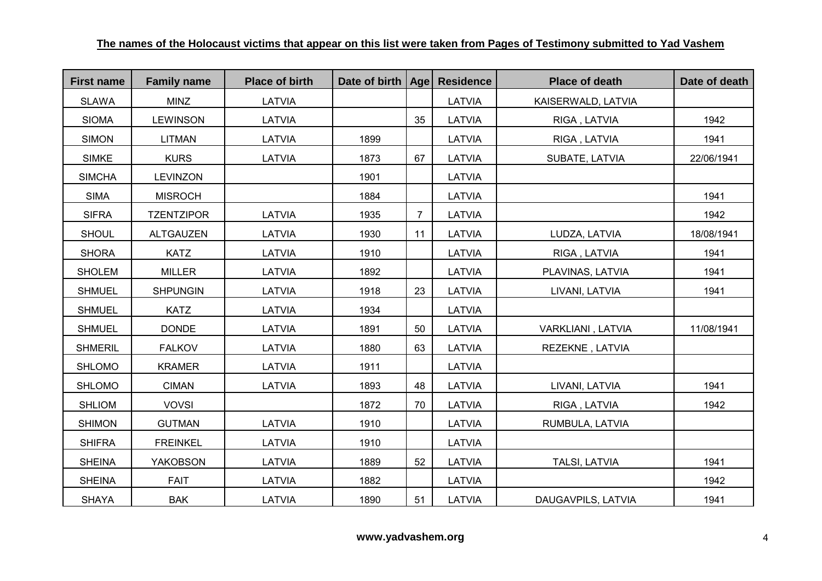| <b>First name</b> | <b>Family name</b> | <b>Place of birth</b> | Date of birth   Age |                | <b>Residence</b> | <b>Place of death</b> | Date of death |
|-------------------|--------------------|-----------------------|---------------------|----------------|------------------|-----------------------|---------------|
| <b>SLAWA</b>      | <b>MINZ</b>        | LATVIA                |                     |                | LATVIA           | KAISERWALD, LATVIA    |               |
| <b>SIOMA</b>      | <b>LEWINSON</b>    | <b>LATVIA</b>         |                     | 35             | LATVIA           | RIGA, LATVIA          | 1942          |
| <b>SIMON</b>      | <b>LITMAN</b>      | LATVIA                | 1899                |                | LATVIA           | RIGA, LATVIA          | 1941          |
| <b>SIMKE</b>      | <b>KURS</b>        | LATVIA                | 1873                | 67             | LATVIA           | SUBATE, LATVIA        | 22/06/1941    |
| <b>SIMCHA</b>     | <b>LEVINZON</b>    |                       | 1901                |                | LATVIA           |                       |               |
| <b>SIMA</b>       | <b>MISROCH</b>     |                       | 1884                |                | LATVIA           |                       | 1941          |
| <b>SIFRA</b>      | <b>TZENTZIPOR</b>  | <b>LATVIA</b>         | 1935                | $\overline{7}$ | LATVIA           |                       | 1942          |
| <b>SHOUL</b>      | <b>ALTGAUZEN</b>   | LATVIA                | 1930                | 11             | LATVIA           | LUDZA, LATVIA         | 18/08/1941    |
| <b>SHORA</b>      | <b>KATZ</b>        | LATVIA                | 1910                |                | LATVIA           | RIGA, LATVIA          | 1941          |
| <b>SHOLEM</b>     | <b>MILLER</b>      | LATVIA                | 1892                |                | LATVIA           | PLAVINAS, LATVIA      | 1941          |
| <b>SHMUEL</b>     | <b>SHPUNGIN</b>    | LATVIA                | 1918                | 23             | LATVIA           | LIVANI, LATVIA        | 1941          |
| <b>SHMUEL</b>     | <b>KATZ</b>        | LATVIA                | 1934                |                | LATVIA           |                       |               |
| <b>SHMUEL</b>     | <b>DONDE</b>       | LATVIA                | 1891                | 50             | LATVIA           | VARKLIANI, LATVIA     | 11/08/1941    |
| <b>SHMERIL</b>    | <b>FALKOV</b>      | LATVIA                | 1880                | 63             | LATVIA           | REZEKNE, LATVIA       |               |
| <b>SHLOMO</b>     | <b>KRAMER</b>      | LATVIA                | 1911                |                | LATVIA           |                       |               |
| <b>SHLOMO</b>     | <b>CIMAN</b>       | LATVIA                | 1893                | 48             | LATVIA           | LIVANI, LATVIA        | 1941          |
| <b>SHLIOM</b>     | <b>VOVSI</b>       |                       | 1872                | 70             | LATVIA           | RIGA, LATVIA          | 1942          |
| <b>SHIMON</b>     | <b>GUTMAN</b>      | LATVIA                | 1910                |                | LATVIA           | RUMBULA, LATVIA       |               |
| <b>SHIFRA</b>     | <b>FREINKEL</b>    | LATVIA                | 1910                |                | LATVIA           |                       |               |
| <b>SHEINA</b>     | <b>YAKOBSON</b>    | LATVIA                | 1889                | 52             | LATVIA           | <b>TALSI, LATVIA</b>  | 1941          |
| <b>SHEINA</b>     | <b>FAIT</b>        | LATVIA                | 1882                |                | LATVIA           |                       | 1942          |
| <b>SHAYA</b>      | <b>BAK</b>         | LATVIA                | 1890                | 51             | LATVIA           | DAUGAVPILS, LATVIA    | 1941          |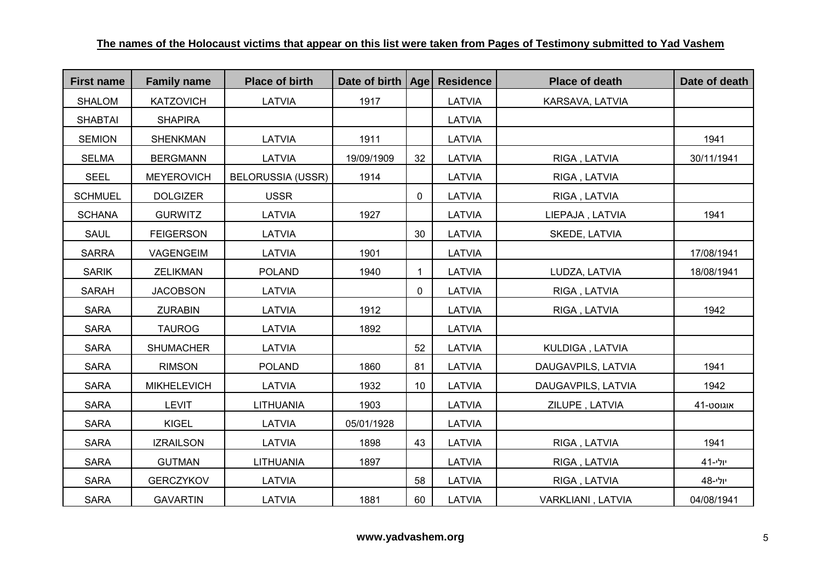| <b>First name</b> | <b>Family name</b> | <b>Place of birth</b>    | Date of birth   Age |             | <b>Residence</b> | <b>Place of death</b> | Date of death    |
|-------------------|--------------------|--------------------------|---------------------|-------------|------------------|-----------------------|------------------|
| <b>SHALOM</b>     | <b>KATZOVICH</b>   | LATVIA                   | 1917                |             | LATVIA           | KARSAVA, LATVIA       |                  |
| <b>SHABTAI</b>    | <b>SHAPIRA</b>     |                          |                     |             | <b>LATVIA</b>    |                       |                  |
| <b>SEMION</b>     | <b>SHENKMAN</b>    | LATVIA                   | 1911                |             | LATVIA           |                       | 1941             |
| <b>SELMA</b>      | <b>BERGMANN</b>    | LATVIA                   | 19/09/1909          | 32          | LATVIA           | RIGA, LATVIA          | 30/11/1941       |
| <b>SEEL</b>       | <b>MEYEROVICH</b>  | <b>BELORUSSIA (USSR)</b> | 1914                |             | <b>LATVIA</b>    | RIGA, LATVIA          |                  |
| <b>SCHMUEL</b>    | <b>DOLGIZER</b>    | <b>USSR</b>              |                     | 0           | LATVIA           | RIGA, LATVIA          |                  |
| <b>SCHANA</b>     | <b>GURWITZ</b>     | LATVIA                   | 1927                |             | LATVIA           | LIEPAJA, LATVIA       | 1941             |
| <b>SAUL</b>       | <b>FEIGERSON</b>   | LATVIA                   |                     | 30          | <b>LATVIA</b>    | SKEDE, LATVIA         |                  |
| <b>SARRA</b>      | VAGENGEIM          | LATVIA                   | 1901                |             | LATVIA           |                       | 17/08/1941       |
| <b>SARIK</b>      | <b>ZELIKMAN</b>    | <b>POLAND</b>            | 1940                | $\mathbf 1$ | LATVIA           | LUDZA, LATVIA         | 18/08/1941       |
| <b>SARAH</b>      | <b>JACOBSON</b>    | LATVIA                   |                     | 0           | LATVIA           | RIGA, LATVIA          |                  |
| <b>SARA</b>       | <b>ZURABIN</b>     | LATVIA                   | 1912                |             | LATVIA           | RIGA, LATVIA          | 1942             |
| <b>SARA</b>       | <b>TAUROG</b>      | LATVIA                   | 1892                |             | <b>LATVIA</b>    |                       |                  |
| <b>SARA</b>       | <b>SHUMACHER</b>   | LATVIA                   |                     | 52          | LATVIA           | KULDIGA, LATVIA       |                  |
| <b>SARA</b>       | <b>RIMSON</b>      | <b>POLAND</b>            | 1860                | 81          | LATVIA           | DAUGAVPILS, LATVIA    | 1941             |
| <b>SARA</b>       | <b>MIKHELEVICH</b> | LATVIA                   | 1932                | 10          | LATVIA           | DAUGAVPILS, LATVIA    | 1942             |
| <b>SARA</b>       | <b>LEVIT</b>       | <b>LITHUANIA</b>         | 1903                |             | LATVIA           | ZILUPE, LATVIA        | <b>41-</b> סט-41 |
| <b>SARA</b>       | <b>KIGEL</b>       | LATVIA                   | 05/01/1928          |             | LATVIA           |                       |                  |
| <b>SARA</b>       | <b>IZRAILSON</b>   | LATVIA                   | 1898                | 43          | LATVIA           | RIGA, LATVIA          | 1941             |
| <b>SARA</b>       | <b>GUTMAN</b>      | <b>LITHUANIA</b>         | 1897                |             | LATVIA           | RIGA, LATVIA          | יולי-41          |
| <b>SARA</b>       | <b>GERCZYKOV</b>   | LATVIA                   |                     | 58          | LATVIA           | RIGA, LATVIA          | יולי-48          |
| <b>SARA</b>       | <b>GAVARTIN</b>    | LATVIA                   | 1881                | 60          | LATVIA           | VARKLIANI, LATVIA     | 04/08/1941       |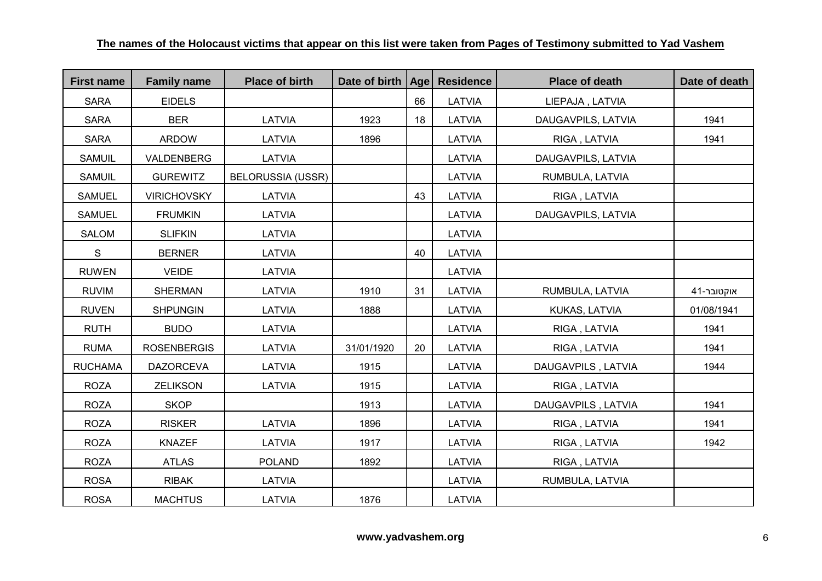| <b>First name</b> | <b>Family name</b> | <b>Place of birth</b>    | Date of birth   Age |    | <b>Residence</b> | <b>Place of death</b> | Date of death |
|-------------------|--------------------|--------------------------|---------------------|----|------------------|-----------------------|---------------|
| <b>SARA</b>       | <b>EIDELS</b>      |                          |                     | 66 | LATVIA           | LIEPAJA, LATVIA       |               |
| <b>SARA</b>       | <b>BER</b>         | LATVIA                   | 1923                | 18 | LATVIA           | DAUGAVPILS, LATVIA    | 1941          |
| <b>SARA</b>       | <b>ARDOW</b>       | LATVIA                   | 1896                |    | LATVIA           | RIGA, LATVIA          | 1941          |
| SAMUIL            | VALDENBERG         | LATVIA                   |                     |    | <b>LATVIA</b>    | DAUGAVPILS, LATVIA    |               |
| <b>SAMUIL</b>     | <b>GUREWITZ</b>    | <b>BELORUSSIA (USSR)</b> |                     |    | LATVIA           | RUMBULA, LATVIA       |               |
| <b>SAMUEL</b>     | <b>VIRICHOVSKY</b> | LATVIA                   |                     | 43 | LATVIA           | RIGA, LATVIA          |               |
| <b>SAMUEL</b>     | <b>FRUMKIN</b>     | LATVIA                   |                     |    | LATVIA           | DAUGAVPILS, LATVIA    |               |
| <b>SALOM</b>      | <b>SLIFKIN</b>     | LATVIA                   |                     |    | LATVIA           |                       |               |
| S                 | <b>BERNER</b>      | LATVIA                   |                     | 40 | LATVIA           |                       |               |
| <b>RUWEN</b>      | <b>VEIDE</b>       | LATVIA                   |                     |    | LATVIA           |                       |               |
| <b>RUVIM</b>      | <b>SHERMAN</b>     | LATVIA                   | 1910                | 31 | LATVIA           | RUMBULA, LATVIA       | אוקטובר-41    |
| <b>RUVEN</b>      | <b>SHPUNGIN</b>    | LATVIA                   | 1888                |    | LATVIA           | KUKAS, LATVIA         | 01/08/1941    |
| <b>RUTH</b>       | <b>BUDO</b>        | <b>LATVIA</b>            |                     |    | <b>LATVIA</b>    | RIGA, LATVIA          | 1941          |
| <b>RUMA</b>       | <b>ROSENBERGIS</b> | LATVIA                   | 31/01/1920          | 20 | LATVIA           | RIGA, LATVIA          | 1941          |
| <b>RUCHAMA</b>    | <b>DAZORCEVA</b>   | LATVIA                   | 1915                |    | LATVIA           | DAUGAVPILS, LATVIA    | 1944          |
| <b>ROZA</b>       | <b>ZELIKSON</b>    | LATVIA                   | 1915                |    | LATVIA           | RIGA, LATVIA          |               |
| <b>ROZA</b>       | <b>SKOP</b>        |                          | 1913                |    | LATVIA           | DAUGAVPILS, LATVIA    | 1941          |
| <b>ROZA</b>       | <b>RISKER</b>      | LATVIA                   | 1896                |    | LATVIA           | RIGA, LATVIA          | 1941          |
| <b>ROZA</b>       | <b>KNAZEF</b>      | LATVIA                   | 1917                |    | LATVIA           | RIGA, LATVIA          | 1942          |
| <b>ROZA</b>       | <b>ATLAS</b>       | <b>POLAND</b>            | 1892                |    | LATVIA           | RIGA, LATVIA          |               |
| <b>ROSA</b>       | <b>RIBAK</b>       | LATVIA                   |                     |    | LATVIA           | RUMBULA, LATVIA       |               |
| <b>ROSA</b>       | <b>MACHTUS</b>     | LATVIA                   | 1876                |    | LATVIA           |                       |               |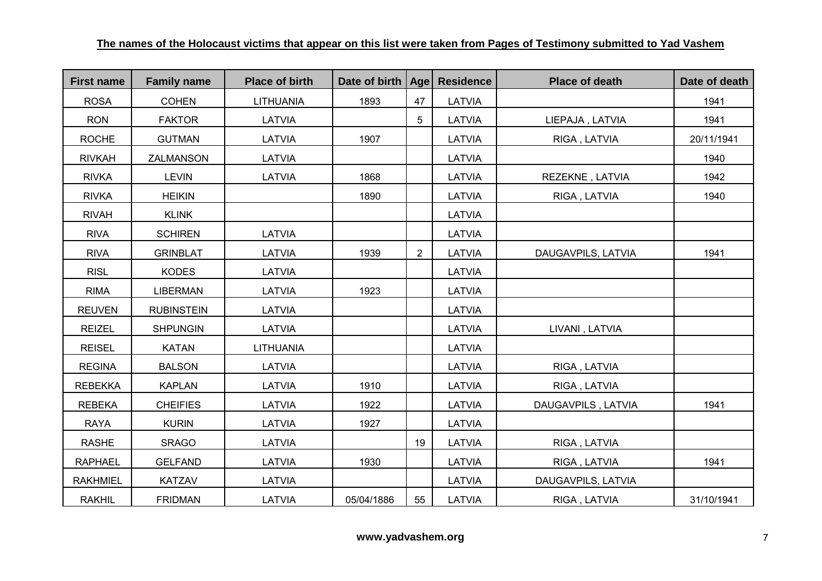| <b>First name</b> | <b>Family name</b> | <b>Place of birth</b> | Date of birth   Age |                 | <b>Residence</b> | <b>Place of death</b> | Date of death |
|-------------------|--------------------|-----------------------|---------------------|-----------------|------------------|-----------------------|---------------|
| <b>ROSA</b>       | <b>COHEN</b>       | <b>LITHUANIA</b>      | 1893                | 47              | LATVIA           |                       | 1941          |
| <b>RON</b>        | <b>FAKTOR</b>      | <b>LATVIA</b>         |                     | $5\phantom{.0}$ | LATVIA           | LIEPAJA, LATVIA       | 1941          |
| <b>ROCHE</b>      | <b>GUTMAN</b>      | LATVIA                | 1907                |                 | LATVIA           | RIGA, LATVIA          | 20/11/1941    |
| <b>RIVKAH</b>     | <b>ZALMANSON</b>   | LATVIA                |                     |                 | LATVIA           |                       | 1940          |
| <b>RIVKA</b>      | <b>LEVIN</b>       | LATVIA                | 1868                |                 | <b>LATVIA</b>    | REZEKNE, LATVIA       | 1942          |
| <b>RIVKA</b>      | <b>HEIKIN</b>      |                       | 1890                |                 | LATVIA           | RIGA, LATVIA          | 1940          |
| <b>RIVAH</b>      | <b>KLINK</b>       |                       |                     |                 | LATVIA           |                       |               |
| <b>RIVA</b>       | <b>SCHIREN</b>     | LATVIA                |                     |                 | LATVIA           |                       |               |
| <b>RIVA</b>       | <b>GRINBLAT</b>    | <b>LATVIA</b>         | 1939                | $\overline{2}$  | LATVIA           | DAUGAVPILS, LATVIA    | 1941          |
| <b>RISL</b>       | <b>KODES</b>       | LATVIA                |                     |                 | LATVIA           |                       |               |
| <b>RIMA</b>       | <b>LIBERMAN</b>    | LATVIA                | 1923                |                 | LATVIA           |                       |               |
| <b>REUVEN</b>     | <b>RUBINSTEIN</b>  | LATVIA                |                     |                 | LATVIA           |                       |               |
| <b>REIZEL</b>     | <b>SHPUNGIN</b>    | LATVIA                |                     |                 | <b>LATVIA</b>    | LIVANI, LATVIA        |               |
| <b>REISEL</b>     | <b>KATAN</b>       | <b>LITHUANIA</b>      |                     |                 | LATVIA           |                       |               |
| <b>REGINA</b>     | <b>BALSON</b>      | LATVIA                |                     |                 | LATVIA           | RIGA, LATVIA          |               |
| <b>REBEKKA</b>    | <b>KAPLAN</b>      | LATVIA                | 1910                |                 | LATVIA           | RIGA, LATVIA          |               |
| <b>REBEKA</b>     | <b>CHEIFIES</b>    | LATVIA                | 1922                |                 | LATVIA           | DAUGAVPILS, LATVIA    | 1941          |
| <b>RAYA</b>       | <b>KURIN</b>       | LATVIA                | 1927                |                 | LATVIA           |                       |               |
| <b>RASHE</b>      | <b>SRAGO</b>       | LATVIA                |                     | 19              | LATVIA           | RIGA, LATVIA          |               |
| <b>RAPHAEL</b>    | <b>GELFAND</b>     | LATVIA                | 1930                |                 | LATVIA           | RIGA, LATVIA          | 1941          |
| <b>RAKHMIEL</b>   | <b>KATZAV</b>      | LATVIA                |                     |                 | LATVIA           | DAUGAVPILS, LATVIA    |               |
| <b>RAKHIL</b>     | <b>FRIDMAN</b>     | LATVIA                | 05/04/1886          | 55              | LATVIA           | RIGA, LATVIA          | 31/10/1941    |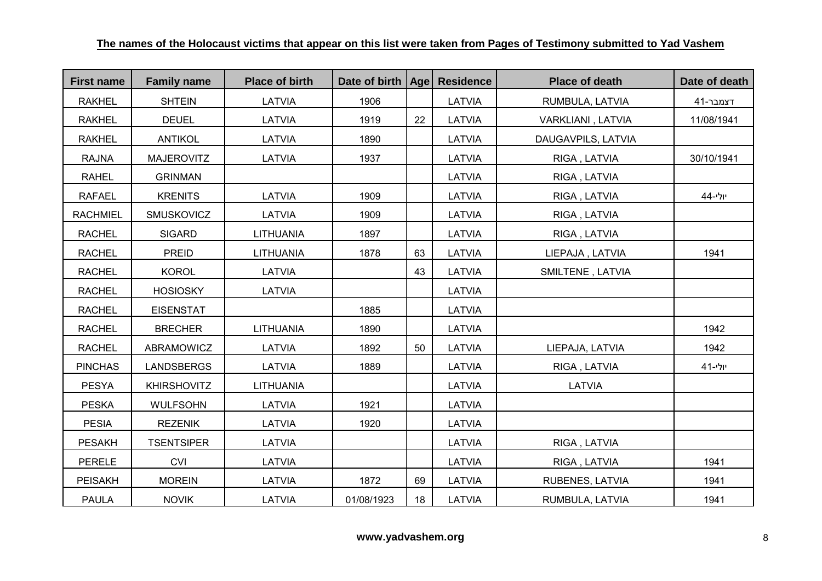| <b>First name</b> | <b>Family name</b> | <b>Place of birth</b> | Date of birth   Age   Residence |    |               | <b>Place of death</b> | Date of death |
|-------------------|--------------------|-----------------------|---------------------------------|----|---------------|-----------------------|---------------|
| <b>RAKHEL</b>     | <b>SHTEIN</b>      | LATVIA                | 1906                            |    | LATVIA        | RUMBULA, LATVIA       | דצמבר-41      |
| <b>RAKHEL</b>     | <b>DEUEL</b>       | LATVIA                | 1919                            | 22 | <b>LATVIA</b> | VARKLIANI, LATVIA     | 11/08/1941    |
| <b>RAKHEL</b>     | <b>ANTIKOL</b>     | LATVIA                | 1890                            |    | LATVIA        | DAUGAVPILS, LATVIA    |               |
| <b>RAJNA</b>      | <b>MAJEROVITZ</b>  | LATVIA                | 1937                            |    | LATVIA        | RIGA, LATVIA          | 30/10/1941    |
| <b>RAHEL</b>      | <b>GRINMAN</b>     |                       |                                 |    | LATVIA        | RIGA, LATVIA          |               |
| <b>RAFAEL</b>     | <b>KRENITS</b>     | LATVIA                | 1909                            |    | LATVIA        | RIGA, LATVIA          | יולי-44       |
| <b>RACHMIEL</b>   | <b>SMUSKOVICZ</b>  | LATVIA                | 1909                            |    | LATVIA        | RIGA, LATVIA          |               |
| <b>RACHEL</b>     | <b>SIGARD</b>      | <b>LITHUANIA</b>      | 1897                            |    | LATVIA        | RIGA, LATVIA          |               |
| <b>RACHEL</b>     | <b>PREID</b>       | <b>LITHUANIA</b>      | 1878                            | 63 | LATVIA        | LIEPAJA, LATVIA       | 1941          |
| <b>RACHEL</b>     | <b>KOROL</b>       | LATVIA                |                                 | 43 | LATVIA        | SMILTENE, LATVIA      |               |
| <b>RACHEL</b>     | <b>HOSIOSKY</b>    | LATVIA                |                                 |    | LATVIA        |                       |               |
| <b>RACHEL</b>     | <b>EISENSTAT</b>   |                       | 1885                            |    | LATVIA        |                       |               |
| <b>RACHEL</b>     | <b>BRECHER</b>     | LITHUANIA             | 1890                            |    | LATVIA        |                       | 1942          |
| <b>RACHEL</b>     | ABRAMOWICZ         | LATVIA                | 1892                            | 50 | LATVIA        | LIEPAJA, LATVIA       | 1942          |
| <b>PINCHAS</b>    | <b>LANDSBERGS</b>  | LATVIA                | 1889                            |    | LATVIA        | RIGA, LATVIA          | יולי-41       |
| <b>PESYA</b>      | <b>KHIRSHOVITZ</b> | <b>LITHUANIA</b>      |                                 |    | LATVIA        | <b>LATVIA</b>         |               |
| <b>PESKA</b>      | <b>WULFSOHN</b>    | LATVIA                | 1921                            |    | LATVIA        |                       |               |
| <b>PESIA</b>      | <b>REZENIK</b>     | LATVIA                | 1920                            |    | LATVIA        |                       |               |
| <b>PESAKH</b>     | <b>TSENTSIPER</b>  | LATVIA                |                                 |    | LATVIA        | RIGA, LATVIA          |               |
| <b>PERELE</b>     | <b>CVI</b>         | LATVIA                |                                 |    | LATVIA        | RIGA, LATVIA          | 1941          |
| <b>PEISAKH</b>    | <b>MOREIN</b>      | LATVIA                | 1872                            | 69 | LATVIA        | RUBENES, LATVIA       | 1941          |
| <b>PAULA</b>      | <b>NOVIK</b>       | LATVIA                | 01/08/1923                      | 18 | LATVIA        | RUMBULA, LATVIA       | 1941          |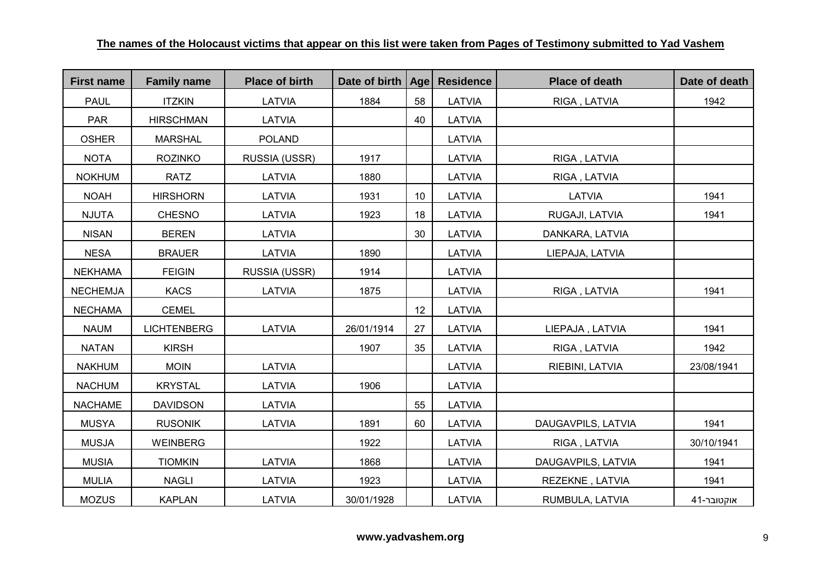| <b>First name</b> | <b>Family name</b> | <b>Place of birth</b> | Date of birth | Age | <b>Residence</b> | <b>Place of death</b> | Date of death |
|-------------------|--------------------|-----------------------|---------------|-----|------------------|-----------------------|---------------|
| <b>PAUL</b>       | <b>ITZKIN</b>      | LATVIA                | 1884          | 58  | LATVIA           | RIGA, LATVIA          | 1942          |
| <b>PAR</b>        | <b>HIRSCHMAN</b>   | LATVIA                |               | 40  | LATVIA           |                       |               |
| <b>OSHER</b>      | <b>MARSHAL</b>     | <b>POLAND</b>         |               |     | LATVIA           |                       |               |
| <b>NOTA</b>       | <b>ROZINKO</b>     | RUSSIA (USSR)         | 1917          |     | LATVIA           | RIGA, LATVIA          |               |
| <b>NOKHUM</b>     | <b>RATZ</b>        | <b>LATVIA</b>         | 1880          |     | LATVIA           | RIGA, LATVIA          |               |
| <b>NOAH</b>       | <b>HIRSHORN</b>    | LATVIA                | 1931          | 10  | LATVIA           | LATVIA                | 1941          |
| <b>NJUTA</b>      | <b>CHESNO</b>      | <b>LATVIA</b>         | 1923          | 18  | <b>LATVIA</b>    | RUGAJI, LATVIA        | 1941          |
| <b>NISAN</b>      | <b>BEREN</b>       | LATVIA                |               | 30  | LATVIA           | DANKARA, LATVIA       |               |
| <b>NESA</b>       | <b>BRAUER</b>      | LATVIA                | 1890          |     | LATVIA           | LIEPAJA, LATVIA       |               |
| <b>NEKHAMA</b>    | <b>FEIGIN</b>      | RUSSIA (USSR)         | 1914          |     | LATVIA           |                       |               |
| <b>NECHEMJA</b>   | <b>KACS</b>        | LATVIA                | 1875          |     | LATVIA           | RIGA, LATVIA          | 1941          |
| <b>NECHAMA</b>    | <b>CEMEL</b>       |                       |               | 12  | LATVIA           |                       |               |
| <b>NAUM</b>       | <b>LICHTENBERG</b> | <b>LATVIA</b>         | 26/01/1914    | 27  | LATVIA           | LIEPAJA, LATVIA       | 1941          |
| <b>NATAN</b>      | <b>KIRSH</b>       |                       | 1907          | 35  | LATVIA           | RIGA, LATVIA          | 1942          |
| <b>NAKHUM</b>     | <b>MOIN</b>        | LATVIA                |               |     | LATVIA           | RIEBINI, LATVIA       | 23/08/1941    |
| <b>NACHUM</b>     | <b>KRYSTAL</b>     | LATVIA                | 1906          |     | LATVIA           |                       |               |
| <b>NACHAME</b>    | <b>DAVIDSON</b>    | LATVIA                |               | 55  | LATVIA           |                       |               |
| <b>MUSYA</b>      | <b>RUSONIK</b>     | LATVIA                | 1891          | 60  | LATVIA           | DAUGAVPILS, LATVIA    | 1941          |
| <b>MUSJA</b>      | <b>WEINBERG</b>    |                       | 1922          |     | LATVIA           | RIGA, LATVIA          | 30/10/1941    |
| <b>MUSIA</b>      | <b>TIOMKIN</b>     | LATVIA                | 1868          |     | LATVIA           | DAUGAVPILS, LATVIA    | 1941          |
| <b>MULIA</b>      | <b>NAGLI</b>       | LATVIA                | 1923          |     | LATVIA           | REZEKNE, LATVIA       | 1941          |
| <b>MOZUS</b>      | <b>KAPLAN</b>      | LATVIA                | 30/01/1928    |     | LATVIA           | RUMBULA, LATVIA       | אוקטובר-41    |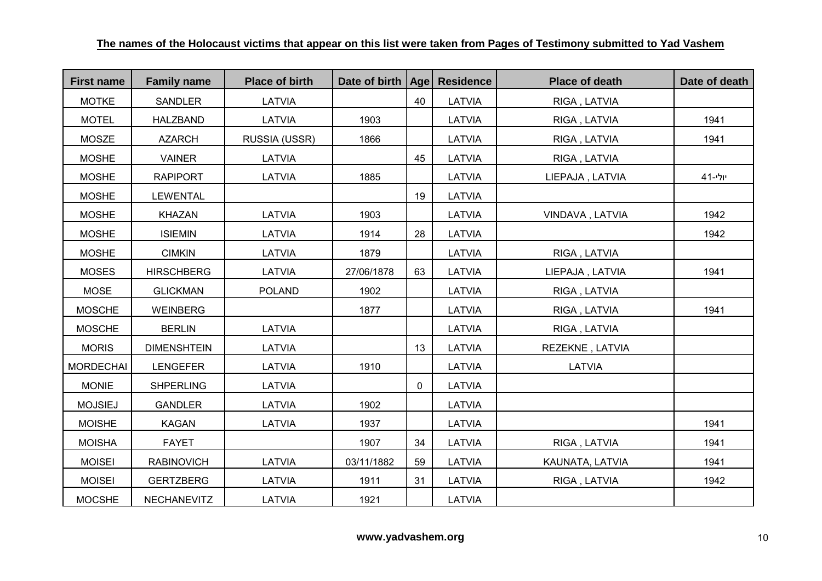| <b>First name</b> | <b>Family name</b> | <b>Place of birth</b> | Date of birth   Age |    | <b>Residence</b> | <b>Place of death</b> | Date of death |
|-------------------|--------------------|-----------------------|---------------------|----|------------------|-----------------------|---------------|
| <b>MOTKE</b>      | <b>SANDLER</b>     | LATVIA                |                     | 40 | LATVIA           | RIGA, LATVIA          |               |
| <b>MOTEL</b>      | <b>HALZBAND</b>    | LATVIA                | 1903                |    | LATVIA           | RIGA, LATVIA          | 1941          |
| <b>MOSZE</b>      | <b>AZARCH</b>      | RUSSIA (USSR)         | 1866                |    | LATVIA           | RIGA, LATVIA          | 1941          |
| <b>MOSHE</b>      | <b>VAINER</b>      | LATVIA                |                     | 45 | LATVIA           | RIGA, LATVIA          |               |
| <b>MOSHE</b>      | <b>RAPIPORT</b>    | LATVIA                | 1885                |    | LATVIA           | LIEPAJA, LATVIA       | יולי-41       |
| <b>MOSHE</b>      | <b>LEWENTAL</b>    |                       |                     | 19 | LATVIA           |                       |               |
| <b>MOSHE</b>      | <b>KHAZAN</b>      | LATVIA                | 1903                |    | LATVIA           | VINDAVA, LATVIA       | 1942          |
| <b>MOSHE</b>      | <b>ISIEMIN</b>     | LATVIA                | 1914                | 28 | LATVIA           |                       | 1942          |
| <b>MOSHE</b>      | <b>CIMKIN</b>      | LATVIA                | 1879                |    | LATVIA           | RIGA, LATVIA          |               |
| <b>MOSES</b>      | <b>HIRSCHBERG</b>  | LATVIA                | 27/06/1878          | 63 | LATVIA           | LIEPAJA, LATVIA       | 1941          |
| <b>MOSE</b>       | <b>GLICKMAN</b>    | <b>POLAND</b>         | 1902                |    | LATVIA           | RIGA, LATVIA          |               |
| <b>MOSCHE</b>     | <b>WEINBERG</b>    |                       | 1877                |    | LATVIA           | RIGA, LATVIA          | 1941          |
| <b>MOSCHE</b>     | <b>BERLIN</b>      | LATVIA                |                     |    | LATVIA           | RIGA, LATVIA          |               |
| <b>MORIS</b>      | <b>DIMENSHTEIN</b> | LATVIA                |                     | 13 | LATVIA           | REZEKNE, LATVIA       |               |
| <b>MORDECHAI</b>  | <b>LENGEFER</b>    | LATVIA                | 1910                |    | LATVIA           | LATVIA                |               |
| <b>MONIE</b>      | <b>SHPERLING</b>   | LATVIA                |                     | 0  | LATVIA           |                       |               |
| <b>MOJSIEJ</b>    | <b>GANDLER</b>     | LATVIA                | 1902                |    | LATVIA           |                       |               |
| <b>MOISHE</b>     | <b>KAGAN</b>       | LATVIA                | 1937                |    | LATVIA           |                       | 1941          |
| <b>MOISHA</b>     | <b>FAYET</b>       |                       | 1907                | 34 | LATVIA           | RIGA, LATVIA          | 1941          |
| <b>MOISEI</b>     | <b>RABINOVICH</b>  | LATVIA                | 03/11/1882          | 59 | LATVIA           | KAUNATA, LATVIA       | 1941          |
| <b>MOISEI</b>     | <b>GERTZBERG</b>   | LATVIA                | 1911                | 31 | LATVIA           | RIGA, LATVIA          | 1942          |
| <b>MOCSHE</b>     | <b>NECHANEVITZ</b> | LATVIA                | 1921                |    | LATVIA           |                       |               |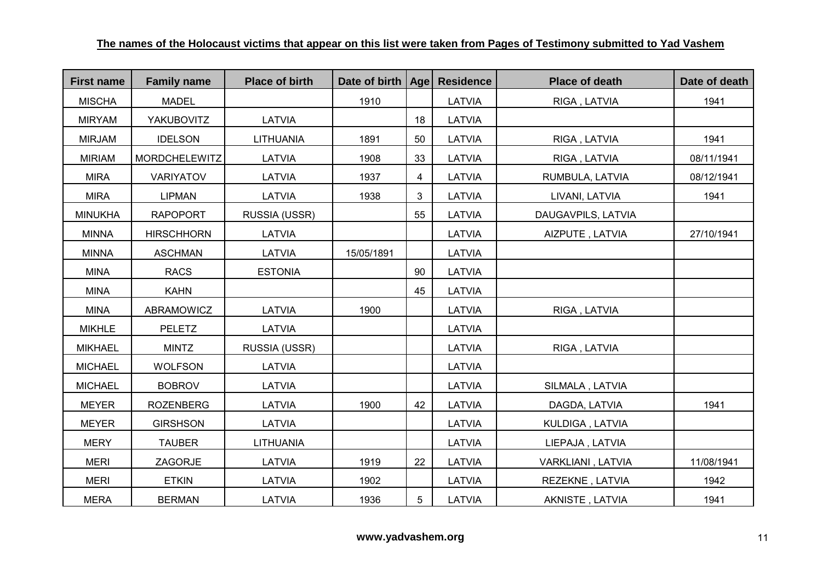| <b>First name</b> | <b>Family name</b>   | <b>Place of birth</b> | Date of birth   Age   Residence |    |               | <b>Place of death</b> | Date of death |
|-------------------|----------------------|-----------------------|---------------------------------|----|---------------|-----------------------|---------------|
| <b>MISCHA</b>     | <b>MADEL</b>         |                       | 1910                            |    | LATVIA        | RIGA, LATVIA          | 1941          |
| <b>MIRYAM</b>     | <b>YAKUBOVITZ</b>    | <b>LATVIA</b>         |                                 | 18 | <b>LATVIA</b> |                       |               |
| <b>MIRJAM</b>     | <b>IDELSON</b>       | <b>LITHUANIA</b>      | 1891                            | 50 | LATVIA        | RIGA, LATVIA          | 1941          |
| <b>MIRIAM</b>     | <b>MORDCHELEWITZ</b> | LATVIA                | 1908                            | 33 | LATVIA        | RIGA, LATVIA          | 08/11/1941    |
| <b>MIRA</b>       | <b>VARIYATOV</b>     | LATVIA                | 1937                            | 4  | LATVIA        | RUMBULA, LATVIA       | 08/12/1941    |
| <b>MIRA</b>       | <b>LIPMAN</b>        | LATVIA                | 1938                            | 3  | LATVIA        | LIVANI, LATVIA        | 1941          |
| <b>MINUKHA</b>    | <b>RAPOPORT</b>      | RUSSIA (USSR)         |                                 | 55 | <b>LATVIA</b> | DAUGAVPILS, LATVIA    |               |
| <b>MINNA</b>      | <b>HIRSCHHORN</b>    | LATVIA                |                                 |    | LATVIA        | AIZPUTE, LATVIA       | 27/10/1941    |
| <b>MINNA</b>      | <b>ASCHMAN</b>       | LATVIA                | 15/05/1891                      |    | LATVIA        |                       |               |
| <b>MINA</b>       | <b>RACS</b>          | <b>ESTONIA</b>        |                                 | 90 | LATVIA        |                       |               |
| <b>MINA</b>       | <b>KAHN</b>          |                       |                                 | 45 | <b>LATVIA</b> |                       |               |
| <b>MINA</b>       | ABRAMOWICZ           | <b>LATVIA</b>         | 1900                            |    | LATVIA        | RIGA, LATVIA          |               |
| <b>MIKHLE</b>     | <b>PELETZ</b>        | <b>LATVIA</b>         |                                 |    | LATVIA        |                       |               |
| <b>MIKHAEL</b>    | <b>MINTZ</b>         | RUSSIA (USSR)         |                                 |    | LATVIA        | RIGA, LATVIA          |               |
| <b>MICHAEL</b>    | <b>WOLFSON</b>       | LATVIA                |                                 |    | <b>LATVIA</b> |                       |               |
| <b>MICHAEL</b>    | <b>BOBROV</b>        | LATVIA                |                                 |    | LATVIA        | SILMALA, LATVIA       |               |
| <b>MEYER</b>      | <b>ROZENBERG</b>     | LATVIA                | 1900                            | 42 | LATVIA        | DAGDA, LATVIA         | 1941          |
| <b>MEYER</b>      | <b>GIRSHSON</b>      | <b>LATVIA</b>         |                                 |    | LATVIA        | KULDIGA, LATVIA       |               |
| <b>MERY</b>       | <b>TAUBER</b>        | <b>LITHUANIA</b>      |                                 |    | LATVIA        | LIEPAJA, LATVIA       |               |
| <b>MERI</b>       | ZAGORJE              | LATVIA                | 1919                            | 22 | LATVIA        | VARKLIANI, LATVIA     | 11/08/1941    |
| <b>MERI</b>       | <b>ETKIN</b>         | LATVIA                | 1902                            |    | LATVIA        | REZEKNE, LATVIA       | 1942          |
| <b>MERA</b>       | <b>BERMAN</b>        | LATVIA                | 1936                            | 5  | LATVIA        | AKNISTE, LATVIA       | 1941          |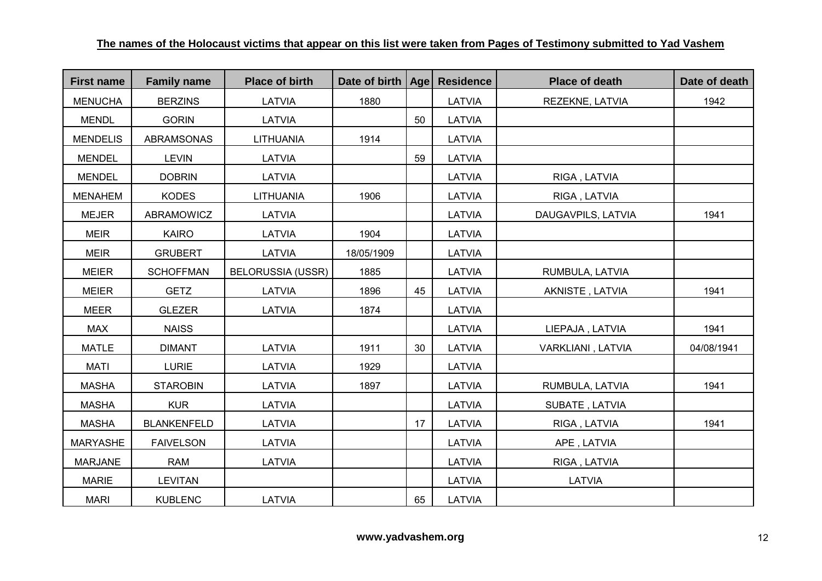| <b>First name</b> | <b>Family name</b> | <b>Place of birth</b>    | Date of birth   Age |    | <b>Residence</b> | <b>Place of death</b> | Date of death |
|-------------------|--------------------|--------------------------|---------------------|----|------------------|-----------------------|---------------|
| <b>MENUCHA</b>    | <b>BERZINS</b>     | LATVIA                   | 1880                |    | LATVIA           | REZEKNE, LATVIA       | 1942          |
| <b>MENDL</b>      | <b>GORIN</b>       | LATVIA                   |                     | 50 | LATVIA           |                       |               |
| <b>MENDELIS</b>   | <b>ABRAMSONAS</b>  | <b>LITHUANIA</b>         | 1914                |    | LATVIA           |                       |               |
| <b>MENDEL</b>     | <b>LEVIN</b>       | LATVIA                   |                     | 59 | LATVIA           |                       |               |
| <b>MENDEL</b>     | <b>DOBRIN</b>      | <b>LATVIA</b>            |                     |    | <b>LATVIA</b>    | RIGA, LATVIA          |               |
| <b>MENAHEM</b>    | <b>KODES</b>       | <b>LITHUANIA</b>         | 1906                |    | LATVIA           | RIGA, LATVIA          |               |
| <b>MEJER</b>      | ABRAMOWICZ         | LATVIA                   |                     |    | LATVIA           | DAUGAVPILS, LATVIA    | 1941          |
| <b>MEIR</b>       | <b>KAIRO</b>       | LATVIA                   | 1904                |    | LATVIA           |                       |               |
| <b>MEIR</b>       | <b>GRUBERT</b>     | <b>LATVIA</b>            | 18/05/1909          |    | <b>LATVIA</b>    |                       |               |
| <b>MEIER</b>      | <b>SCHOFFMAN</b>   | <b>BELORUSSIA (USSR)</b> | 1885                |    | LATVIA           | RUMBULA, LATVIA       |               |
| <b>MEIER</b>      | <b>GETZ</b>        | LATVIA                   | 1896                | 45 | LATVIA           | AKNISTE, LATVIA       | 1941          |
| <b>MEER</b>       | <b>GLEZER</b>      | LATVIA                   | 1874                |    | LATVIA           |                       |               |
| <b>MAX</b>        | <b>NAISS</b>       |                          |                     |    | LATVIA           | LIEPAJA, LATVIA       | 1941          |
| <b>MATLE</b>      | <b>DIMANT</b>      | LATVIA                   | 1911                | 30 | LATVIA           | VARKLIANI, LATVIA     | 04/08/1941    |
| <b>MATI</b>       | <b>LURIE</b>       | LATVIA                   | 1929                |    | LATVIA           |                       |               |
| <b>MASHA</b>      | <b>STAROBIN</b>    | LATVIA                   | 1897                |    | LATVIA           | RUMBULA, LATVIA       | 1941          |
| <b>MASHA</b>      | <b>KUR</b>         | LATVIA                   |                     |    | LATVIA           | SUBATE, LATVIA        |               |
| <b>MASHA</b>      | <b>BLANKENFELD</b> | LATVIA                   |                     | 17 | LATVIA           | RIGA, LATVIA          | 1941          |
| <b>MARYASHE</b>   | <b>FAIVELSON</b>   | LATVIA                   |                     |    | <b>LATVIA</b>    | APE, LATVIA           |               |
| <b>MARJANE</b>    | <b>RAM</b>         | LATVIA                   |                     |    | LATVIA           | RIGA, LATVIA          |               |
| <b>MARIE</b>      | <b>LEVITAN</b>     |                          |                     |    | LATVIA           | <b>LATVIA</b>         |               |
| <b>MARI</b>       | <b>KUBLENC</b>     | <b>LATVIA</b>            |                     | 65 | LATVIA           |                       |               |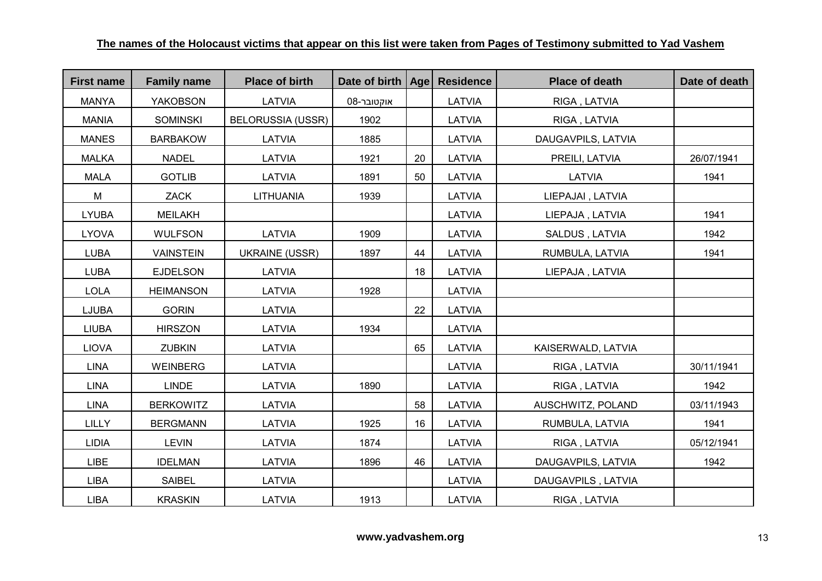| <b>First name</b> | <b>Family name</b> | <b>Place of birth</b>    | Date of birth   Age |    | <b>Residence</b> | <b>Place of death</b> | Date of death |
|-------------------|--------------------|--------------------------|---------------------|----|------------------|-----------------------|---------------|
| <b>MANYA</b>      | <b>YAKOBSON</b>    | LATVIA                   | אוקטובר-08          |    | LATVIA           | RIGA, LATVIA          |               |
| <b>MANIA</b>      | <b>SOMINSKI</b>    | <b>BELORUSSIA (USSR)</b> | 1902                |    | LATVIA           | RIGA, LATVIA          |               |
| <b>MANES</b>      | <b>BARBAKOW</b>    | LATVIA                   | 1885                |    | LATVIA           | DAUGAVPILS, LATVIA    |               |
| <b>MALKA</b>      | <b>NADEL</b>       | LATVIA                   | 1921                | 20 | LATVIA           | PREILI, LATVIA        | 26/07/1941    |
| <b>MALA</b>       | <b>GOTLIB</b>      | LATVIA                   | 1891                | 50 | LATVIA           | <b>LATVIA</b>         | 1941          |
| M                 | ZACK               | <b>LITHUANIA</b>         | 1939                |    | LATVIA           | LIEPAJAI, LATVIA      |               |
| <b>LYUBA</b>      | <b>MEILAKH</b>     |                          |                     |    | LATVIA           | LIEPAJA, LATVIA       | 1941          |
| <b>LYOVA</b>      | <b>WULFSON</b>     | LATVIA                   | 1909                |    | LATVIA           | SALDUS, LATVIA        | 1942          |
| <b>LUBA</b>       | <b>VAINSTEIN</b>   | <b>UKRAINE (USSR)</b>    | 1897                | 44 | LATVIA           | RUMBULA, LATVIA       | 1941          |
| <b>LUBA</b>       | <b>EJDELSON</b>    | LATVIA                   |                     | 18 | LATVIA           | LIEPAJA, LATVIA       |               |
| <b>LOLA</b>       | <b>HEIMANSON</b>   | LATVIA                   | 1928                |    | LATVIA           |                       |               |
| LJUBA             | <b>GORIN</b>       | LATVIA                   |                     | 22 | LATVIA           |                       |               |
| <b>LIUBA</b>      | <b>HIRSZON</b>     | LATVIA                   | 1934                |    | LATVIA           |                       |               |
| <b>LIOVA</b>      | <b>ZUBKIN</b>      | LATVIA                   |                     | 65 | LATVIA           | KAISERWALD, LATVIA    |               |
| <b>LINA</b>       | <b>WEINBERG</b>    | LATVIA                   |                     |    | LATVIA           | RIGA, LATVIA          | 30/11/1941    |
| <b>LINA</b>       | <b>LINDE</b>       | LATVIA                   | 1890                |    | LATVIA           | RIGA, LATVIA          | 1942          |
| <b>LINA</b>       | <b>BERKOWITZ</b>   | LATVIA                   |                     | 58 | LATVIA           | AUSCHWITZ, POLAND     | 03/11/1943    |
| <b>LILLY</b>      | <b>BERGMANN</b>    | LATVIA                   | 1925                | 16 | LATVIA           | RUMBULA, LATVIA       | 1941          |
| <b>LIDIA</b>      | <b>LEVIN</b>       | LATVIA                   | 1874                |    | LATVIA           | RIGA, LATVIA          | 05/12/1941    |
| <b>LIBE</b>       | <b>IDELMAN</b>     | LATVIA                   | 1896                | 46 | LATVIA           | DAUGAVPILS, LATVIA    | 1942          |
| <b>LIBA</b>       | <b>SAIBEL</b>      | LATVIA                   |                     |    | LATVIA           | DAUGAVPILS, LATVIA    |               |
| <b>LIBA</b>       | <b>KRASKIN</b>     | LATVIA                   | 1913                |    | LATVIA           | RIGA, LATVIA          |               |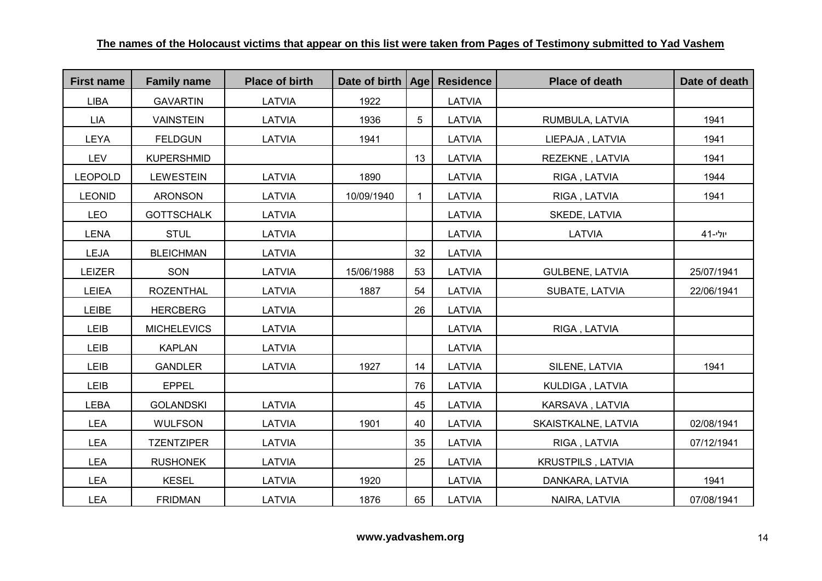| <b>First name</b> | <b>Family name</b> | <b>Place of birth</b> | Date of birth   Age |              | <b>Residence</b> | <b>Place of death</b>  | Date of death |
|-------------------|--------------------|-----------------------|---------------------|--------------|------------------|------------------------|---------------|
| <b>LIBA</b>       | <b>GAVARTIN</b>    | <b>LATVIA</b>         | 1922                |              | LATVIA           |                        |               |
| <b>LIA</b>        | <b>VAINSTEIN</b>   | LATVIA                | 1936                | 5            | <b>LATVIA</b>    | RUMBULA, LATVIA        | 1941          |
| <b>LEYA</b>       | <b>FELDGUN</b>     | LATVIA                | 1941                |              | LATVIA           | LIEPAJA, LATVIA        | 1941          |
| <b>LEV</b>        | <b>KUPERSHMID</b>  |                       |                     | 13           | LATVIA           | REZEKNE, LATVIA        | 1941          |
| <b>LEOPOLD</b>    | <b>LEWESTEIN</b>   | <b>LATVIA</b>         | 1890                |              | LATVIA           | RIGA, LATVIA           | 1944          |
| <b>LEONID</b>     | <b>ARONSON</b>     | LATVIA                | 10/09/1940          | $\mathbf{1}$ | LATVIA           | RIGA, LATVIA           | 1941          |
| <b>LEO</b>        | <b>GOTTSCHALK</b>  | LATVIA                |                     |              | LATVIA           | SKEDE, LATVIA          |               |
| <b>LENA</b>       | <b>STUL</b>        | LATVIA                |                     |              | LATVIA           | LATVIA                 | יולי-41       |
| LEJA              | <b>BLEICHMAN</b>   | LATVIA                |                     | 32           | LATVIA           |                        |               |
| <b>LEIZER</b>     | SON                | LATVIA                | 15/06/1988          | 53           | LATVIA           | <b>GULBENE, LATVIA</b> | 25/07/1941    |
| <b>LEIEA</b>      | <b>ROZENTHAL</b>   | LATVIA                | 1887                | 54           | LATVIA           | SUBATE, LATVIA         | 22/06/1941    |
| <b>LEIBE</b>      | <b>HERCBERG</b>    | LATVIA                |                     | 26           | LATVIA           |                        |               |
| LEIB              | <b>MICHELEVICS</b> | LATVIA                |                     |              | LATVIA           | RIGA, LATVIA           |               |
| LEIB              | <b>KAPLAN</b>      | LATVIA                |                     |              | LATVIA           |                        |               |
| LEIB              | <b>GANDLER</b>     | LATVIA                | 1927                | 14           | LATVIA           | SILENE, LATVIA         | 1941          |
| LEIB              | <b>EPPEL</b>       |                       |                     | 76           | LATVIA           | KULDIGA, LATVIA        |               |
| <b>LEBA</b>       | <b>GOLANDSKI</b>   | LATVIA                |                     | 45           | LATVIA           | KARSAVA, LATVIA        |               |
| <b>LEA</b>        | <b>WULFSON</b>     | <b>LATVIA</b>         | 1901                | 40           | LATVIA           | SKAISTKALNE, LATVIA    | 02/08/1941    |
| <b>LEA</b>        | <b>TZENTZIPER</b>  | LATVIA                |                     | 35           | LATVIA           | RIGA, LATVIA           | 07/12/1941    |
| <b>LEA</b>        | <b>RUSHONEK</b>    | LATVIA                |                     | 25           | LATVIA           | KRUSTPILS, LATVIA      |               |
| <b>LEA</b>        | <b>KESEL</b>       | LATVIA                | 1920                |              | LATVIA           | DANKARA, LATVIA        | 1941          |
| <b>LEA</b>        | <b>FRIDMAN</b>     | LATVIA                | 1876                | 65           | LATVIA           | NAIRA, LATVIA          | 07/08/1941    |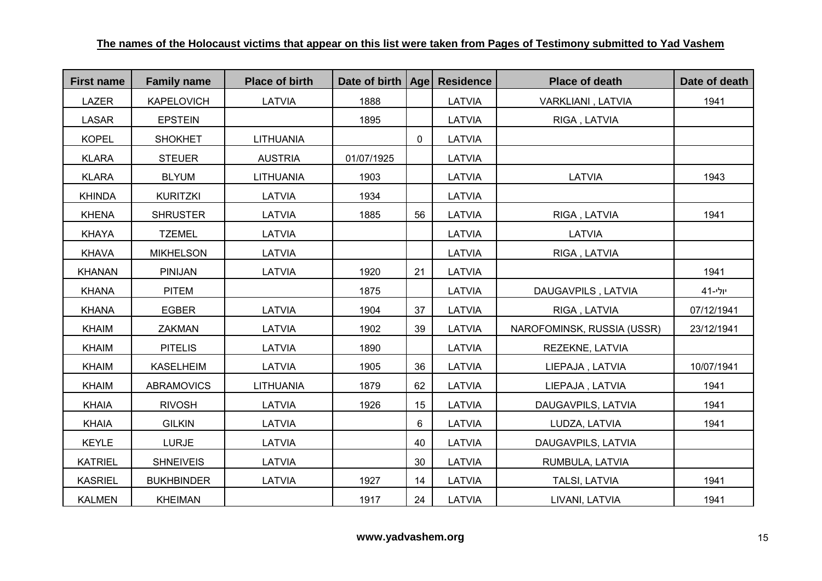| <b>First name</b> | <b>Family name</b> | <b>Place of birth</b> | Date of birth   Age |             | <b>Residence</b> | <b>Place of death</b>      | Date of death |
|-------------------|--------------------|-----------------------|---------------------|-------------|------------------|----------------------------|---------------|
| <b>LAZER</b>      | <b>KAPELOVICH</b>  | LATVIA                | 1888                |             | LATVIA           | VARKLIANI, LATVIA          | 1941          |
| <b>LASAR</b>      | <b>EPSTEIN</b>     |                       | 1895                |             | LATVIA           | RIGA, LATVIA               |               |
| <b>KOPEL</b>      | <b>SHOKHET</b>     | LITHUANIA             |                     | $\mathbf 0$ | LATVIA           |                            |               |
| <b>KLARA</b>      | <b>STEUER</b>      | <b>AUSTRIA</b>        | 01/07/1925          |             | LATVIA           |                            |               |
| <b>KLARA</b>      | <b>BLYUM</b>       | LITHUANIA             | 1903                |             | LATVIA           | LATVIA                     | 1943          |
| <b>KHINDA</b>     | <b>KURITZKI</b>    | LATVIA                | 1934                |             | LATVIA           |                            |               |
| <b>KHENA</b>      | <b>SHRUSTER</b>    | LATVIA                | 1885                | 56          | LATVIA           | RIGA, LATVIA               | 1941          |
| <b>KHAYA</b>      | <b>TZEMEL</b>      | LATVIA                |                     |             | LATVIA           | LATVIA                     |               |
| <b>KHAVA</b>      | <b>MIKHELSON</b>   | LATVIA                |                     |             | LATVIA           | RIGA, LATVIA               |               |
| <b>KHANAN</b>     | <b>PINIJAN</b>     | LATVIA                | 1920                | 21          | LATVIA           |                            | 1941          |
| <b>KHANA</b>      | <b>PITEM</b>       |                       | 1875                |             | LATVIA           | DAUGAVPILS, LATVIA         | יולי-41       |
| <b>KHANA</b>      | <b>EGBER</b>       | LATVIA                | 1904                | 37          | LATVIA           | RIGA, LATVIA               | 07/12/1941    |
| <b>KHAIM</b>      | <b>ZAKMAN</b>      | LATVIA                | 1902                | 39          | LATVIA           | NAROFOMINSK, RUSSIA (USSR) | 23/12/1941    |
| <b>KHAIM</b>      | <b>PITELIS</b>     | LATVIA                | 1890                |             | LATVIA           | REZEKNE, LATVIA            |               |
| <b>KHAIM</b>      | <b>KASELHEIM</b>   | <b>LATVIA</b>         | 1905                | 36          | LATVIA           | LIEPAJA, LATVIA            | 10/07/1941    |
| <b>KHAIM</b>      | <b>ABRAMOVICS</b>  | <b>LITHUANIA</b>      | 1879                | 62          | LATVIA           | LIEPAJA, LATVIA            | 1941          |
| <b>KHAIA</b>      | <b>RIVOSH</b>      | <b>LATVIA</b>         | 1926                | 15          | LATVIA           | DAUGAVPILS, LATVIA         | 1941          |
| <b>KHAIA</b>      | <b>GILKIN</b>      | <b>LATVIA</b>         |                     | 6           | LATVIA           | LUDZA, LATVIA              | 1941          |
| <b>KEYLE</b>      | <b>LURJE</b>       | LATVIA                |                     | 40          | LATVIA           | DAUGAVPILS, LATVIA         |               |
| <b>KATRIEL</b>    | <b>SHNEIVEIS</b>   | LATVIA                |                     | 30          | LATVIA           | RUMBULA, LATVIA            |               |
| <b>KASRIEL</b>    | <b>BUKHBINDER</b>  | LATVIA                | 1927                | 14          | LATVIA           | TALSI, LATVIA              | 1941          |
| <b>KALMEN</b>     | <b>KHEIMAN</b>     |                       | 1917                | 24          | LATVIA           | LIVANI, LATVIA             | 1941          |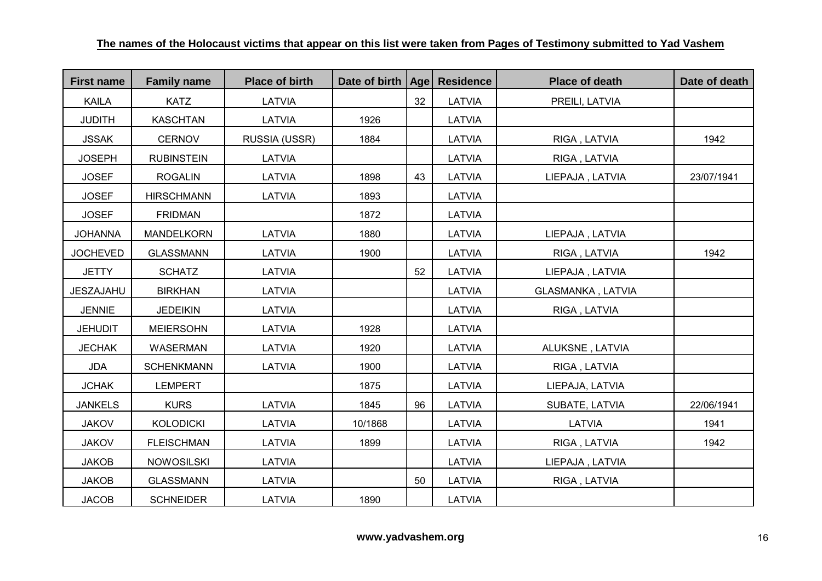| <b>First name</b> | <b>Family name</b> | <b>Place of birth</b> | Date of birth   Age |    | <b>Residence</b> | <b>Place of death</b>    | Date of death |
|-------------------|--------------------|-----------------------|---------------------|----|------------------|--------------------------|---------------|
| <b>KAILA</b>      | <b>KATZ</b>        | LATVIA                |                     | 32 | LATVIA           | PREILI, LATVIA           |               |
| <b>JUDITH</b>     | <b>KASCHTAN</b>    | LATVIA                | 1926                |    | <b>LATVIA</b>    |                          |               |
| <b>JSSAK</b>      | <b>CERNOV</b>      | RUSSIA (USSR)         | 1884                |    | LATVIA           | RIGA, LATVIA             | 1942          |
| <b>JOSEPH</b>     | <b>RUBINSTEIN</b>  | LATVIA                |                     |    | LATVIA           | RIGA, LATVIA             |               |
| <b>JOSEF</b>      | <b>ROGALIN</b>     | <b>LATVIA</b>         | 1898                | 43 | LATVIA           | LIEPAJA, LATVIA          | 23/07/1941    |
| <b>JOSEF</b>      | <b>HIRSCHMANN</b>  | LATVIA                | 1893                |    | LATVIA           |                          |               |
| <b>JOSEF</b>      | <b>FRIDMAN</b>     |                       | 1872                |    | LATVIA           |                          |               |
| <b>JOHANNA</b>    | <b>MANDELKORN</b>  | LATVIA                | 1880                |    | LATVIA           | LIEPAJA, LATVIA          |               |
| <b>JOCHEVED</b>   | <b>GLASSMANN</b>   | <b>LATVIA</b>         | 1900                |    | LATVIA           | RIGA, LATVIA             | 1942          |
| <b>JETTY</b>      | <b>SCHATZ</b>      | LATVIA                |                     | 52 | LATVIA           | LIEPAJA, LATVIA          |               |
| JESZAJAHU         | <b>BIRKHAN</b>     | LATVIA                |                     |    | LATVIA           | <b>GLASMANKA, LATVIA</b> |               |
| <b>JENNIE</b>     | <b>JEDEIKIN</b>    | <b>LATVIA</b>         |                     |    | LATVIA           | RIGA, LATVIA             |               |
| <b>JEHUDIT</b>    | <b>MEIERSOHN</b>   | <b>LATVIA</b>         | 1928                |    | LATVIA           |                          |               |
| <b>JECHAK</b>     | WASERMAN           | LATVIA                | 1920                |    | LATVIA           | ALUKSNE, LATVIA          |               |
| <b>JDA</b>        | <b>SCHENKMANN</b>  | LATVIA                | 1900                |    | LATVIA           | RIGA, LATVIA             |               |
| <b>JCHAK</b>      | <b>LEMPERT</b>     |                       | 1875                |    | LATVIA           | LIEPAJA, LATVIA          |               |
| <b>JANKELS</b>    | <b>KURS</b>        | LATVIA                | 1845                | 96 | LATVIA           | SUBATE, LATVIA           | 22/06/1941    |
| <b>JAKOV</b>      | <b>KOLODICKI</b>   | LATVIA                | 10/1868             |    | LATVIA           | <b>LATVIA</b>            | 1941          |
| <b>JAKOV</b>      | <b>FLEISCHMAN</b>  | LATVIA                | 1899                |    | LATVIA           | RIGA, LATVIA             | 1942          |
| <b>JAKOB</b>      | <b>NOWOSILSKI</b>  | LATVIA                |                     |    | LATVIA           | LIEPAJA, LATVIA          |               |
| <b>JAKOB</b>      | <b>GLASSMANN</b>   | LATVIA                |                     | 50 | LATVIA           | RIGA, LATVIA             |               |
| <b>JACOB</b>      | <b>SCHNEIDER</b>   | LATVIA                | 1890                |    | LATVIA           |                          |               |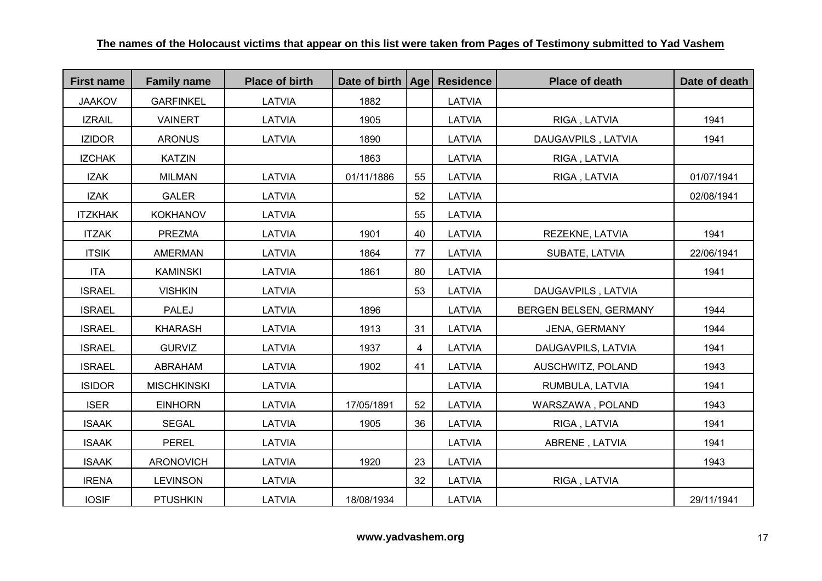| <b>First name</b> | <b>Family name</b> | <b>Place of birth</b> | Date of birth   Age |    | <b>Residence</b> | <b>Place of death</b>  | Date of death |
|-------------------|--------------------|-----------------------|---------------------|----|------------------|------------------------|---------------|
| <b>JAAKOV</b>     | <b>GARFINKEL</b>   | LATVIA                | 1882                |    | LATVIA           |                        |               |
| <b>IZRAIL</b>     | <b>VAINERT</b>     | LATVIA                | 1905                |    | LATVIA           | RIGA, LATVIA           | 1941          |
| <b>IZIDOR</b>     | <b>ARONUS</b>      | LATVIA                | 1890                |    | LATVIA           | DAUGAVPILS, LATVIA     | 1941          |
| <b>IZCHAK</b>     | <b>KATZIN</b>      |                       | 1863                |    | LATVIA           | RIGA, LATVIA           |               |
| <b>IZAK</b>       | <b>MILMAN</b>      | <b>LATVIA</b>         | 01/11/1886          | 55 | LATVIA           | RIGA, LATVIA           | 01/07/1941    |
| <b>IZAK</b>       | <b>GALER</b>       | LATVIA                |                     | 52 | LATVIA           |                        | 02/08/1941    |
| <b>ITZKHAK</b>    | <b>KOKHANOV</b>    | LATVIA                |                     | 55 | LATVIA           |                        |               |
| <b>ITZAK</b>      | <b>PREZMA</b>      | LATVIA                | 1901                | 40 | LATVIA           | REZEKNE, LATVIA        | 1941          |
| <b>ITSIK</b>      | <b>AMERMAN</b>     | LATVIA                | 1864                | 77 | LATVIA           | SUBATE, LATVIA         | 22/06/1941    |
| <b>ITA</b>        | <b>KAMINSKI</b>    | LATVIA                | 1861                | 80 | LATVIA           |                        | 1941          |
| <b>ISRAEL</b>     | <b>VISHKIN</b>     | LATVIA                |                     | 53 | LATVIA           | DAUGAVPILS, LATVIA     |               |
| <b>ISRAEL</b>     | <b>PALEJ</b>       | LATVIA                | 1896                |    | <b>LATVIA</b>    | BERGEN BELSEN, GERMANY | 1944          |
| <b>ISRAEL</b>     | <b>KHARASH</b>     | LATVIA                | 1913                | 31 | LATVIA           | JENA, GERMANY          | 1944          |
| <b>ISRAEL</b>     | <b>GURVIZ</b>      | LATVIA                | 1937                | 4  | LATVIA           | DAUGAVPILS, LATVIA     | 1941          |
| <b>ISRAEL</b>     | ABRAHAM            | LATVIA                | 1902                | 41 | LATVIA           | AUSCHWITZ, POLAND      | 1943          |
| <b>ISIDOR</b>     | <b>MISCHKINSKI</b> | LATVIA                |                     |    | LATVIA           | RUMBULA, LATVIA        | 1941          |
| <b>ISER</b>       | <b>EINHORN</b>     | LATVIA                | 17/05/1891          | 52 | LATVIA           | WARSZAWA, POLAND       | 1943          |
| <b>ISAAK</b>      | <b>SEGAL</b>       | LATVIA                | 1905                | 36 | <b>LATVIA</b>    | RIGA, LATVIA           | 1941          |
| <b>ISAAK</b>      | <b>PEREL</b>       | LATVIA                |                     |    | LATVIA           | ABRENE, LATVIA         | 1941          |
| <b>ISAAK</b>      | <b>ARONOVICH</b>   | LATVIA                | 1920                | 23 | LATVIA           |                        | 1943          |
| <b>IRENA</b>      | <b>LEVINSON</b>    | LATVIA                |                     | 32 | LATVIA           | RIGA, LATVIA           |               |
| <b>IOSIF</b>      | <b>PTUSHKIN</b>    | <b>LATVIA</b>         | 18/08/1934          |    | LATVIA           |                        | 29/11/1941    |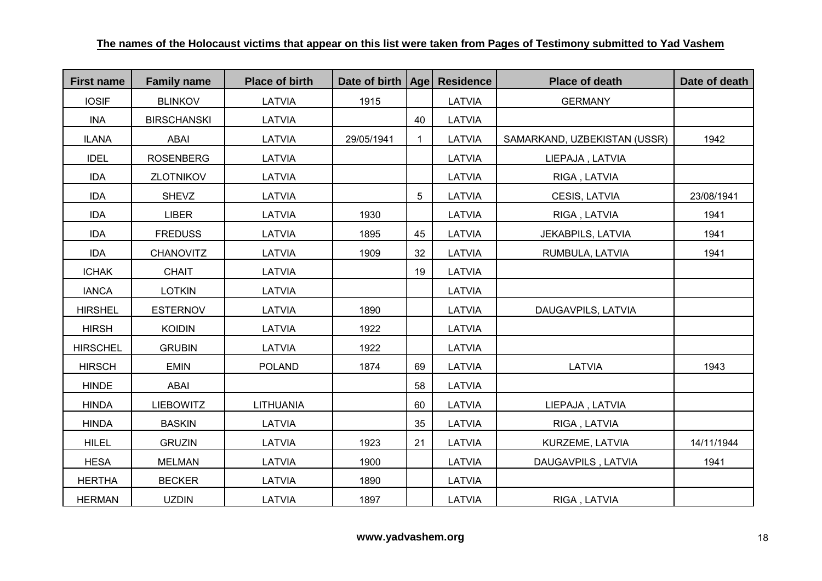| <b>First name</b> | <b>Family name</b> | <b>Place of birth</b> | Date of birth   Age |    | <b>Residence</b> | <b>Place of death</b>        | Date of death |
|-------------------|--------------------|-----------------------|---------------------|----|------------------|------------------------------|---------------|
| <b>IOSIF</b>      | <b>BLINKOV</b>     | LATVIA                | 1915                |    | <b>LATVIA</b>    | <b>GERMANY</b>               |               |
| INA               | <b>BIRSCHANSKI</b> | <b>LATVIA</b>         |                     | 40 | LATVIA           |                              |               |
| <b>ILANA</b>      | <b>ABAI</b>        | LATVIA                | 29/05/1941          | 1  | LATVIA           | SAMARKAND, UZBEKISTAN (USSR) | 1942          |
| <b>IDEL</b>       | <b>ROSENBERG</b>   | <b>LATVIA</b>         |                     |    | <b>LATVIA</b>    | LIEPAJA, LATVIA              |               |
| <b>IDA</b>        | <b>ZLOTNIKOV</b>   | <b>LATVIA</b>         |                     |    | LATVIA           | RIGA, LATVIA                 |               |
| <b>IDA</b>        | <b>SHEVZ</b>       | <b>LATVIA</b>         |                     | 5  | LATVIA           | CESIS, LATVIA                | 23/08/1941    |
| <b>IDA</b>        | <b>LIBER</b>       | LATVIA                | 1930                |    | LATVIA           | RIGA, LATVIA                 | 1941          |
| <b>IDA</b>        | <b>FREDUSS</b>     | LATVIA                | 1895                | 45 | LATVIA           | JEKABPILS, LATVIA            | 1941          |
| <b>IDA</b>        | <b>CHANOVITZ</b>   | LATVIA                | 1909                | 32 | LATVIA           | RUMBULA, LATVIA              | 1941          |
| <b>ICHAK</b>      | <b>CHAIT</b>       | <b>LATVIA</b>         |                     | 19 | LATVIA           |                              |               |
| <b>IANCA</b>      | <b>LOTKIN</b>      | LATVIA                |                     |    | LATVIA           |                              |               |
| <b>HIRSHEL</b>    | <b>ESTERNOV</b>    | LATVIA                | 1890                |    | LATVIA           | DAUGAVPILS, LATVIA           |               |
| <b>HIRSH</b>      | <b>KOIDIN</b>      | <b>LATVIA</b>         | 1922                |    | LATVIA           |                              |               |
| <b>HIRSCHEL</b>   | <b>GRUBIN</b>      | <b>LATVIA</b>         | 1922                |    | LATVIA           |                              |               |
| <b>HIRSCH</b>     | <b>EMIN</b>        | <b>POLAND</b>         | 1874                | 69 | LATVIA           | LATVIA                       | 1943          |
| <b>HINDE</b>      | <b>ABAI</b>        |                       |                     | 58 | LATVIA           |                              |               |
| <b>HINDA</b>      | <b>LIEBOWITZ</b>   | <b>LITHUANIA</b>      |                     | 60 | LATVIA           | LIEPAJA, LATVIA              |               |
| <b>HINDA</b>      | <b>BASKIN</b>      | <b>LATVIA</b>         |                     | 35 | LATVIA           | RIGA, LATVIA                 |               |
| <b>HILEL</b>      | <b>GRUZIN</b>      | LATVIA                | 1923                | 21 | LATVIA           | KURZEME, LATVIA              | 14/11/1944    |
| <b>HESA</b>       | <b>MELMAN</b>      | LATVIA                | 1900                |    | LATVIA           | DAUGAVPILS, LATVIA           | 1941          |
| <b>HERTHA</b>     | <b>BECKER</b>      | LATVIA                | 1890                |    | LATVIA           |                              |               |
| <b>HERMAN</b>     | <b>UZDIN</b>       | LATVIA                | 1897                |    | LATVIA           | RIGA, LATVIA                 |               |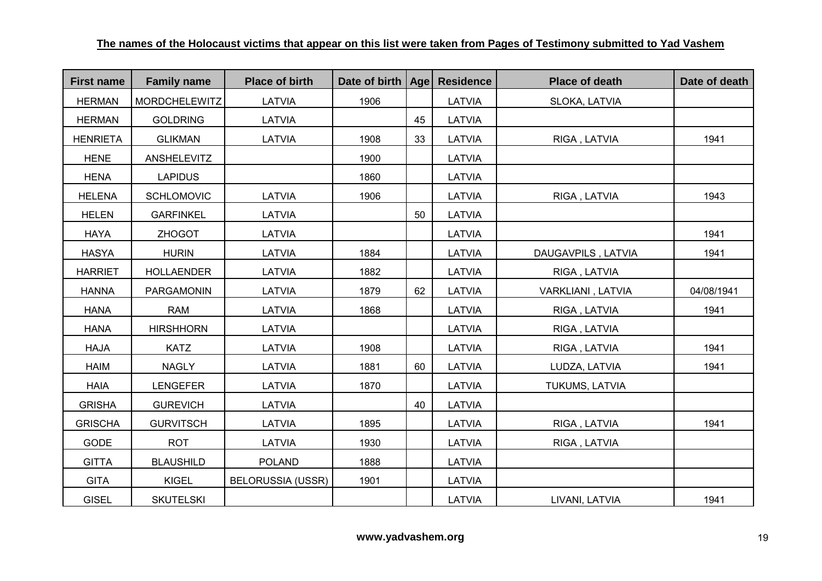| <b>First name</b> | <b>Family name</b>   | <b>Place of birth</b>    | Date of birth   Age |    | <b>Residence</b> | <b>Place of death</b> | Date of death |
|-------------------|----------------------|--------------------------|---------------------|----|------------------|-----------------------|---------------|
| <b>HERMAN</b>     | <b>MORDCHELEWITZ</b> | LATVIA                   | 1906                |    | LATVIA           | SLOKA, LATVIA         |               |
| <b>HERMAN</b>     | <b>GOLDRING</b>      | LATVIA                   |                     | 45 | LATVIA           |                       |               |
| <b>HENRIETA</b>   | <b>GLIKMAN</b>       | LATVIA                   | 1908                | 33 | LATVIA           | RIGA, LATVIA          | 1941          |
| <b>HENE</b>       | <b>ANSHELEVITZ</b>   |                          | 1900                |    | LATVIA           |                       |               |
| <b>HENA</b>       | <b>LAPIDUS</b>       |                          | 1860                |    | LATVIA           |                       |               |
| <b>HELENA</b>     | <b>SCHLOMOVIC</b>    | LATVIA                   | 1906                |    | LATVIA           | RIGA, LATVIA          | 1943          |
| <b>HELEN</b>      | <b>GARFINKEL</b>     | <b>LATVIA</b>            |                     | 50 | LATVIA           |                       |               |
| <b>HAYA</b>       | <b>ZHOGOT</b>        | LATVIA                   |                     |    | LATVIA           |                       | 1941          |
| <b>HASYA</b>      | <b>HURIN</b>         | LATVIA                   | 1884                |    | LATVIA           | DAUGAVPILS, LATVIA    | 1941          |
| <b>HARRIET</b>    | <b>HOLLAENDER</b>    | LATVIA                   | 1882                |    | LATVIA           | RIGA, LATVIA          |               |
| <b>HANNA</b>      | PARGAMONIN           | LATVIA                   | 1879                | 62 | LATVIA           | VARKLIANI, LATVIA     | 04/08/1941    |
| <b>HANA</b>       | <b>RAM</b>           | LATVIA                   | 1868                |    | LATVIA           | RIGA, LATVIA          | 1941          |
| <b>HANA</b>       | <b>HIRSHHORN</b>     | LATVIA                   |                     |    | LATVIA           | RIGA, LATVIA          |               |
| <b>HAJA</b>       | <b>KATZ</b>          | LATVIA                   | 1908                |    | LATVIA           | RIGA, LATVIA          | 1941          |
| <b>HAIM</b>       | <b>NAGLY</b>         | LATVIA                   | 1881                | 60 | LATVIA           | LUDZA, LATVIA         | 1941          |
| <b>HAIA</b>       | <b>LENGEFER</b>      | LATVIA                   | 1870                |    | LATVIA           | TUKUMS, LATVIA        |               |
| <b>GRISHA</b>     | <b>GUREVICH</b>      | LATVIA                   |                     | 40 | LATVIA           |                       |               |
| <b>GRISCHA</b>    | <b>GURVITSCH</b>     | LATVIA                   | 1895                |    | LATVIA           | RIGA, LATVIA          | 1941          |
| <b>GODE</b>       | <b>ROT</b>           | LATVIA                   | 1930                |    | LATVIA           | RIGA, LATVIA          |               |
| <b>GITTA</b>      | <b>BLAUSHILD</b>     | <b>POLAND</b>            | 1888                |    | LATVIA           |                       |               |
| <b>GITA</b>       | <b>KIGEL</b>         | <b>BELORUSSIA (USSR)</b> | 1901                |    | LATVIA           |                       |               |
| <b>GISEL</b>      | <b>SKUTELSKI</b>     |                          |                     |    | LATVIA           | LIVANI, LATVIA        | 1941          |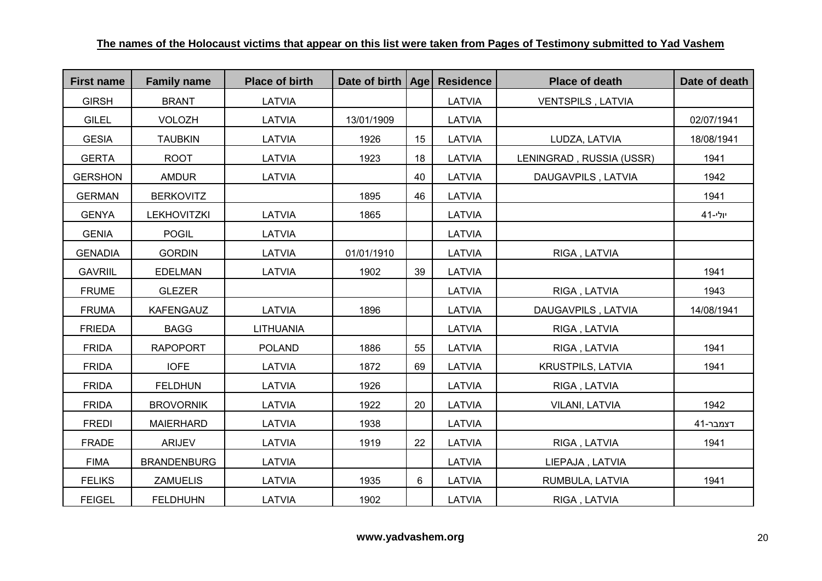| <b>First name</b> | <b>Family name</b> | <b>Place of birth</b> | Date of birth   Age |    | <b>Residence</b> | <b>Place of death</b>    | Date of death |
|-------------------|--------------------|-----------------------|---------------------|----|------------------|--------------------------|---------------|
| <b>GIRSH</b>      | <b>BRANT</b>       | LATVIA                |                     |    | LATVIA           | VENTSPILS, LATVIA        |               |
| <b>GILEL</b>      | <b>VOLOZH</b>      | LATVIA                | 13/01/1909          |    | <b>LATVIA</b>    |                          | 02/07/1941    |
| <b>GESIA</b>      | <b>TAUBKIN</b>     | LATVIA                | 1926                | 15 | LATVIA           | LUDZA, LATVIA            | 18/08/1941    |
| <b>GERTA</b>      | <b>ROOT</b>        | LATVIA                | 1923                | 18 | LATVIA           | LENINGRAD, RUSSIA (USSR) | 1941          |
| <b>GERSHON</b>    | <b>AMDUR</b>       | LATVIA                |                     | 40 | LATVIA           | DAUGAVPILS, LATVIA       | 1942          |
| <b>GERMAN</b>     | <b>BERKOVITZ</b>   |                       | 1895                | 46 | LATVIA           |                          | 1941          |
| <b>GENYA</b>      | <b>LEKHOVITZKI</b> | LATVIA                | 1865                |    | LATVIA           |                          | יולי-41       |
| <b>GENIA</b>      | <b>POGIL</b>       | LATVIA                |                     |    | LATVIA           |                          |               |
| <b>GENADIA</b>    | <b>GORDIN</b>      | LATVIA                | 01/01/1910          |    | LATVIA           | RIGA, LATVIA             |               |
| <b>GAVRIIL</b>    | <b>EDELMAN</b>     | LATVIA                | 1902                | 39 | LATVIA           |                          | 1941          |
| <b>FRUME</b>      | <b>GLEZER</b>      |                       |                     |    | <b>LATVIA</b>    | RIGA, LATVIA             | 1943          |
| <b>FRUMA</b>      | <b>KAFENGAUZ</b>   | LATVIA                | 1896                |    | LATVIA           | DAUGAVPILS, LATVIA       | 14/08/1941    |
| <b>FRIEDA</b>     | <b>BAGG</b>        | <b>LITHUANIA</b>      |                     |    | LATVIA           | RIGA, LATVIA             |               |
| <b>FRIDA</b>      | <b>RAPOPORT</b>    | <b>POLAND</b>         | 1886                | 55 | LATVIA           | RIGA, LATVIA             | 1941          |
| <b>FRIDA</b>      | <b>IOFE</b>        | LATVIA                | 1872                | 69 | LATVIA           | <b>KRUSTPILS, LATVIA</b> | 1941          |
| <b>FRIDA</b>      | <b>FELDHUN</b>     | LATVIA                | 1926                |    | LATVIA           | RIGA, LATVIA             |               |
| <b>FRIDA</b>      | <b>BROVORNIK</b>   | LATVIA                | 1922                | 20 | LATVIA           | <b>VILANI, LATVIA</b>    | 1942          |
| <b>FREDI</b>      | <b>MAIERHARD</b>   | LATVIA                | 1938                |    | LATVIA           |                          | דצמבר-41      |
| <b>FRADE</b>      | <b>ARIJEV</b>      | LATVIA                | 1919                | 22 | LATVIA           | RIGA, LATVIA             | 1941          |
| <b>FIMA</b>       | <b>BRANDENBURG</b> | LATVIA                |                     |    | LATVIA           | LIEPAJA, LATVIA          |               |
| <b>FELIKS</b>     | <b>ZAMUELIS</b>    | LATVIA                | 1935                | 6  | LATVIA           | RUMBULA, LATVIA          | 1941          |
| <b>FEIGEL</b>     | <b>FELDHUHN</b>    | LATVIA                | 1902                |    | LATVIA           | RIGA, LATVIA             |               |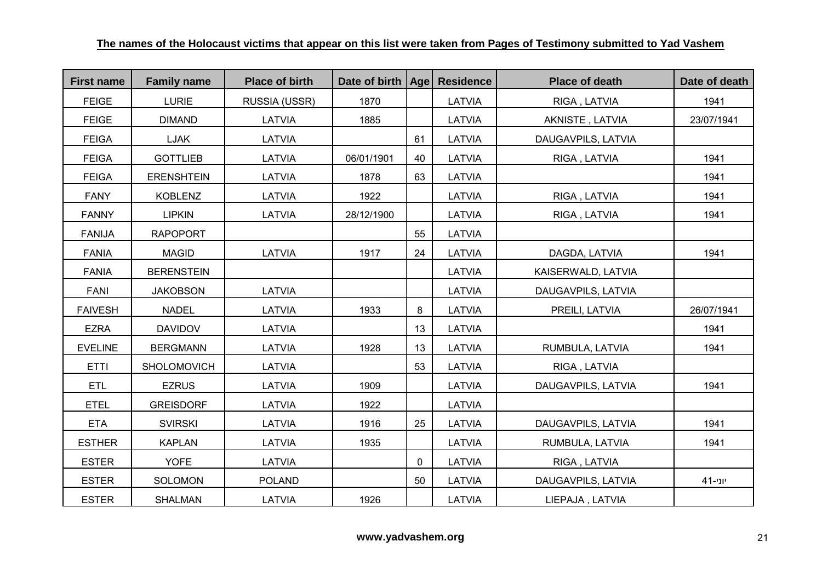| <b>First name</b> | <b>Family name</b> | <b>Place of birth</b> | Date of birth   Age |    | <b>Residence</b> | <b>Place of death</b> | Date of death |
|-------------------|--------------------|-----------------------|---------------------|----|------------------|-----------------------|---------------|
| <b>FEIGE</b>      | <b>LURIE</b>       | RUSSIA (USSR)         | 1870                |    | LATVIA           | RIGA, LATVIA          | 1941          |
| <b>FEIGE</b>      | <b>DIMAND</b>      | LATVIA                | 1885                |    | LATVIA           | AKNISTE, LATVIA       | 23/07/1941    |
| <b>FEIGA</b>      | LJAK               | LATVIA                |                     | 61 | LATVIA           | DAUGAVPILS, LATVIA    |               |
| <b>FEIGA</b>      | <b>GOTTLIEB</b>    | LATVIA                | 06/01/1901          | 40 | LATVIA           | RIGA, LATVIA          | 1941          |
| <b>FEIGA</b>      | <b>ERENSHTEIN</b>  | LATVIA                | 1878                | 63 | LATVIA           |                       | 1941          |
| <b>FANY</b>       | <b>KOBLENZ</b>     | LATVIA                | 1922                |    | LATVIA           | RIGA, LATVIA          | 1941          |
| <b>FANNY</b>      | <b>LIPKIN</b>      | LATVIA                | 28/12/1900          |    | LATVIA           | RIGA, LATVIA          | 1941          |
| <b>FANIJA</b>     | <b>RAPOPORT</b>    |                       |                     | 55 | LATVIA           |                       |               |
| <b>FANIA</b>      | <b>MAGID</b>       | LATVIA                | 1917                | 24 | LATVIA           | DAGDA, LATVIA         | 1941          |
| <b>FANIA</b>      | <b>BERENSTEIN</b>  |                       |                     |    | LATVIA           | KAISERWALD, LATVIA    |               |
| <b>FANI</b>       | <b>JAKOBSON</b>    | LATVIA                |                     |    | LATVIA           | DAUGAVPILS, LATVIA    |               |
| <b>FAIVESH</b>    | <b>NADEL</b>       | LATVIA                | 1933                | 8  | LATVIA           | PREILI, LATVIA        | 26/07/1941    |
| <b>EZRA</b>       | <b>DAVIDOV</b>     | <b>LATVIA</b>         |                     | 13 | <b>LATVIA</b>    |                       | 1941          |
| <b>EVELINE</b>    | <b>BERGMANN</b>    | LATVIA                | 1928                | 13 | LATVIA           | RUMBULA, LATVIA       | 1941          |
| <b>ETTI</b>       | SHOLOMOVICH        | LATVIA                |                     | 53 | LATVIA           | RIGA, LATVIA          |               |
| <b>ETL</b>        | <b>EZRUS</b>       | LATVIA                | 1909                |    | LATVIA           | DAUGAVPILS, LATVIA    | 1941          |
| <b>ETEL</b>       | <b>GREISDORF</b>   | LATVIA                | 1922                |    | LATVIA           |                       |               |
| <b>ETA</b>        | <b>SVIRSKI</b>     | LATVIA                | 1916                | 25 | LATVIA           | DAUGAVPILS, LATVIA    | 1941          |
| <b>ESTHER</b>     | <b>KAPLAN</b>      | LATVIA                | 1935                |    | LATVIA           | RUMBULA, LATVIA       | 1941          |
| <b>ESTER</b>      | <b>YOFE</b>        | LATVIA                |                     | 0  | LATVIA           | RIGA, LATVIA          |               |
| <b>ESTER</b>      | SOLOMON            | <b>POLAND</b>         |                     | 50 | LATVIA           | DAUGAVPILS, LATVIA    | יוני-41       |
| <b>ESTER</b>      | SHALMAN            | LATVIA                | 1926                |    | LATVIA           | LIEPAJA, LATVIA       |               |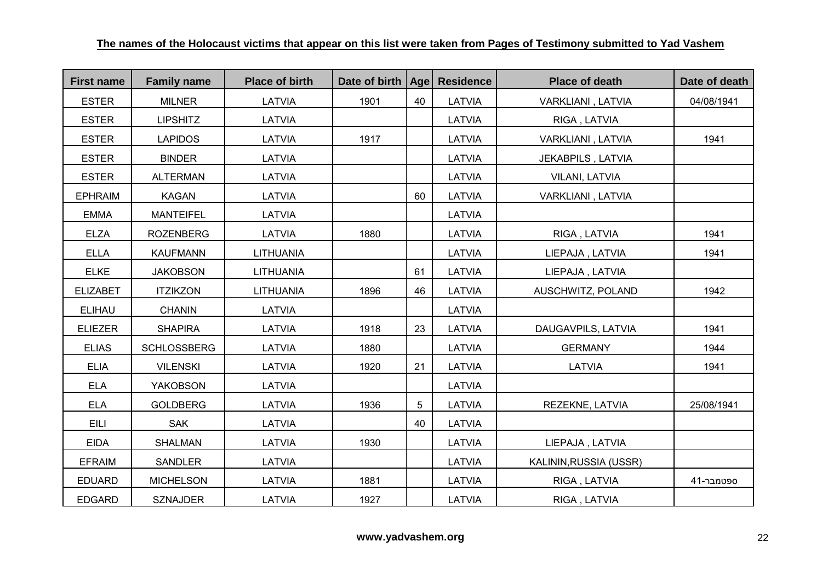| <b>First name</b> | <b>Family name</b> | <b>Place of birth</b> | Date of birth   Age |    | <b>Residence</b> | <b>Place of death</b>  | Date of death |
|-------------------|--------------------|-----------------------|---------------------|----|------------------|------------------------|---------------|
| <b>ESTER</b>      | <b>MILNER</b>      | LATVIA                | 1901                | 40 | LATVIA           | VARKLIANI, LATVIA      | 04/08/1941    |
| <b>ESTER</b>      | <b>LIPSHITZ</b>    | LATVIA                |                     |    | LATVIA           | RIGA, LATVIA           |               |
| <b>ESTER</b>      | <b>LAPIDOS</b>     | LATVIA                | 1917                |    | LATVIA           | VARKLIANI, LATVIA      | 1941          |
| <b>ESTER</b>      | <b>BINDER</b>      | LATVIA                |                     |    | LATVIA           | JEKABPILS, LATVIA      |               |
| <b>ESTER</b>      | <b>ALTERMAN</b>    | LATVIA                |                     |    | LATVIA           | <b>VILANI, LATVIA</b>  |               |
| <b>EPHRAIM</b>    | <b>KAGAN</b>       | LATVIA                |                     | 60 | LATVIA           | VARKLIANI, LATVIA      |               |
| <b>EMMA</b>       | <b>MANTEIFEL</b>   | LATVIA                |                     |    | LATVIA           |                        |               |
| <b>ELZA</b>       | <b>ROZENBERG</b>   | LATVIA                | 1880                |    | LATVIA           | RIGA, LATVIA           | 1941          |
| <b>ELLA</b>       | <b>KAUFMANN</b>    | <b>LITHUANIA</b>      |                     |    | LATVIA           | LIEPAJA, LATVIA        | 1941          |
| <b>ELKE</b>       | <b>JAKOBSON</b>    | <b>LITHUANIA</b>      |                     | 61 | LATVIA           | LIEPAJA, LATVIA        |               |
| <b>ELIZABET</b>   | <b>ITZIKZON</b>    | LITHUANIA             | 1896                | 46 | LATVIA           | AUSCHWITZ, POLAND      | 1942          |
| <b>ELIHAU</b>     | <b>CHANIN</b>      | <b>LATVIA</b>         |                     |    | LATVIA           |                        |               |
| <b>ELIEZER</b>    | <b>SHAPIRA</b>     | LATVIA                | 1918                | 23 | LATVIA           | DAUGAVPILS, LATVIA     | 1941          |
| <b>ELIAS</b>      | <b>SCHLOSSBERG</b> | LATVIA                | 1880                |    | LATVIA           | <b>GERMANY</b>         | 1944          |
| <b>ELIA</b>       | <b>VILENSKI</b>    | LATVIA                | 1920                | 21 | LATVIA           | LATVIA                 | 1941          |
| <b>ELA</b>        | <b>YAKOBSON</b>    | LATVIA                |                     |    | LATVIA           |                        |               |
| <b>ELA</b>        | <b>GOLDBERG</b>    | LATVIA                | 1936                | 5  | LATVIA           | REZEKNE, LATVIA        | 25/08/1941    |
| EILI              | <b>SAK</b>         | <b>LATVIA</b>         |                     | 40 | LATVIA           |                        |               |
| <b>EIDA</b>       | <b>SHALMAN</b>     | LATVIA                | 1930                |    | LATVIA           | LIEPAJA, LATVIA        |               |
| <b>EFRAIM</b>     | <b>SANDLER</b>     | LATVIA                |                     |    | LATVIA           | KALININ, RUSSIA (USSR) |               |
| <b>EDUARD</b>     | <b>MICHELSON</b>   | LATVIA                | 1881                |    | LATVIA           | RIGA, LATVIA           | 41-ספטמבר     |
| <b>EDGARD</b>     | <b>SZNAJDER</b>    | LATVIA                | 1927                |    | LATVIA           | RIGA, LATVIA           |               |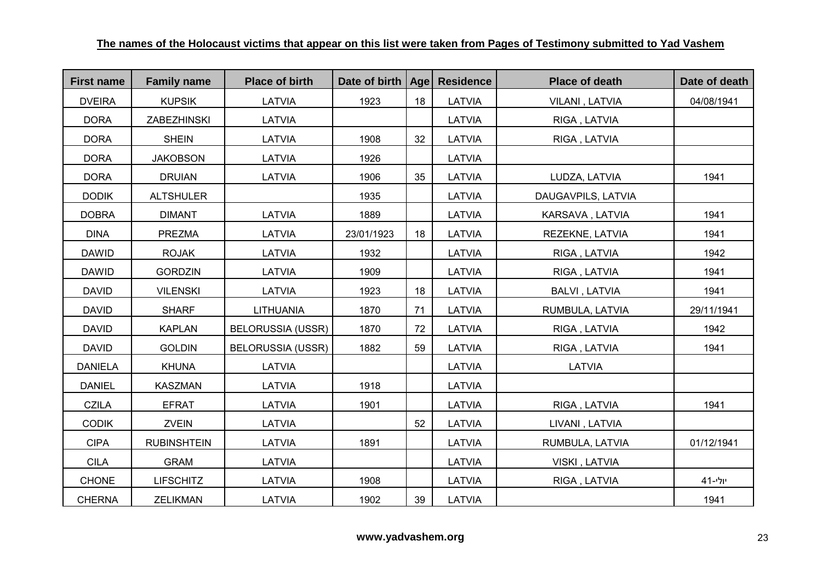| <b>First name</b> | <b>Family name</b> | <b>Place of birth</b>    | Date of birth   Age |    | <b>Residence</b> | <b>Place of death</b> | Date of death |
|-------------------|--------------------|--------------------------|---------------------|----|------------------|-----------------------|---------------|
| <b>DVEIRA</b>     | <b>KUPSIK</b>      | LATVIA                   | 1923                | 18 | LATVIA           | VILANI, LATVIA        | 04/08/1941    |
| <b>DORA</b>       | <b>ZABEZHINSKI</b> | LATVIA                   |                     |    | LATVIA           | RIGA, LATVIA          |               |
| <b>DORA</b>       | <b>SHEIN</b>       | LATVIA                   | 1908                | 32 | LATVIA           | RIGA, LATVIA          |               |
| <b>DORA</b>       | <b>JAKOBSON</b>    | LATVIA                   | 1926                |    | LATVIA           |                       |               |
| <b>DORA</b>       | <b>DRUIAN</b>      | LATVIA                   | 1906                | 35 | LATVIA           | LUDZA, LATVIA         | 1941          |
| <b>DODIK</b>      | <b>ALTSHULER</b>   |                          | 1935                |    | LATVIA           | DAUGAVPILS, LATVIA    |               |
| <b>DOBRA</b>      | <b>DIMANT</b>      | LATVIA                   | 1889                |    | LATVIA           | KARSAVA, LATVIA       | 1941          |
| <b>DINA</b>       | <b>PREZMA</b>      | LATVIA                   | 23/01/1923          | 18 | LATVIA           | REZEKNE, LATVIA       | 1941          |
| <b>DAWID</b>      | <b>ROJAK</b>       | LATVIA                   | 1932                |    | LATVIA           | RIGA, LATVIA          | 1942          |
| <b>DAWID</b>      | <b>GORDZIN</b>     | LATVIA                   | 1909                |    | LATVIA           | RIGA, LATVIA          | 1941          |
| <b>DAVID</b>      | <b>VILENSKI</b>    | LATVIA                   | 1923                | 18 | LATVIA           | <b>BALVI, LATVIA</b>  | 1941          |
| <b>DAVID</b>      | <b>SHARF</b>       | <b>LITHUANIA</b>         | 1870                | 71 | LATVIA           | RUMBULA, LATVIA       | 29/11/1941    |
| <b>DAVID</b>      | <b>KAPLAN</b>      | <b>BELORUSSIA (USSR)</b> | 1870                | 72 | LATVIA           | RIGA, LATVIA          | 1942          |
| <b>DAVID</b>      | <b>GOLDIN</b>      | <b>BELORUSSIA (USSR)</b> | 1882                | 59 | LATVIA           | RIGA, LATVIA          | 1941          |
| <b>DANIELA</b>    | <b>KHUNA</b>       | LATVIA                   |                     |    | LATVIA           | LATVIA                |               |
| <b>DANIEL</b>     | <b>KASZMAN</b>     | LATVIA                   | 1918                |    | LATVIA           |                       |               |
| <b>CZILA</b>      | <b>EFRAT</b>       | LATVIA                   | 1901                |    | LATVIA           | RIGA, LATVIA          | 1941          |
| <b>CODIK</b>      | <b>ZVEIN</b>       | LATVIA                   |                     | 52 | LATVIA           | LIVANI, LATVIA        |               |
| <b>CIPA</b>       | <b>RUBINSHTEIN</b> | LATVIA                   | 1891                |    | LATVIA           | RUMBULA, LATVIA       | 01/12/1941    |
| <b>CILA</b>       | <b>GRAM</b>        | LATVIA                   |                     |    | LATVIA           | VISKI, LATVIA         |               |
| <b>CHONE</b>      | <b>LIFSCHITZ</b>   | LATVIA                   | 1908                |    | LATVIA           | RIGA, LATVIA          | יולי-41       |
| <b>CHERNA</b>     | <b>ZELIKMAN</b>    | LATVIA                   | 1902                | 39 | LATVIA           |                       | 1941          |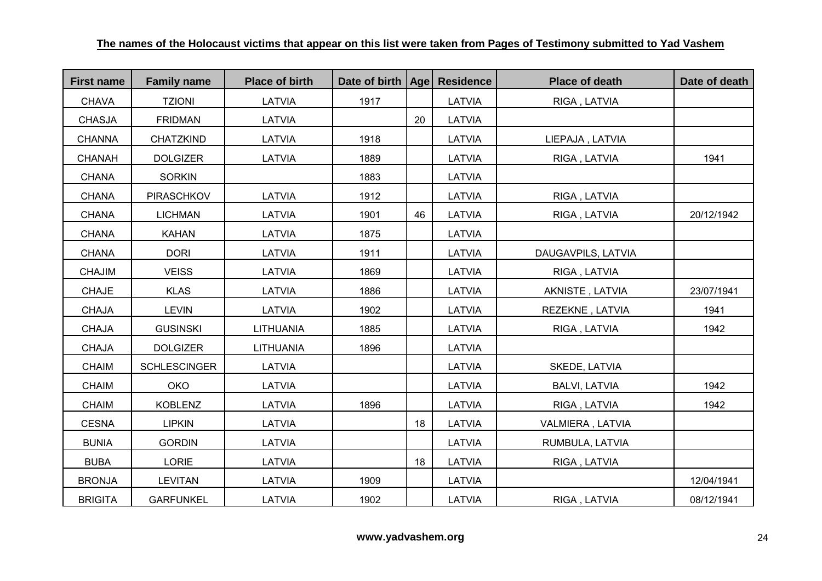| <b>First name</b> | <b>Family name</b>  | <b>Place of birth</b> | Date of birth   Age |    | <b>Residence</b> | <b>Place of death</b> | Date of death |
|-------------------|---------------------|-----------------------|---------------------|----|------------------|-----------------------|---------------|
| <b>CHAVA</b>      | <b>TZIONI</b>       | LATVIA                | 1917                |    | LATVIA           | RIGA, LATVIA          |               |
| <b>CHASJA</b>     | <b>FRIDMAN</b>      | <b>LATVIA</b>         |                     | 20 | LATVIA           |                       |               |
| <b>CHANNA</b>     | CHATZKIND           | LATVIA                | 1918                |    | LATVIA           | LIEPAJA, LATVIA       |               |
| <b>CHANAH</b>     | <b>DOLGIZER</b>     | LATVIA                | 1889                |    | LATVIA           | RIGA, LATVIA          | 1941          |
| <b>CHANA</b>      | <b>SORKIN</b>       |                       | 1883                |    | LATVIA           |                       |               |
| <b>CHANA</b>      | <b>PIRASCHKOV</b>   | LATVIA                | 1912                |    | LATVIA           | RIGA, LATVIA          |               |
| <b>CHANA</b>      | <b>LICHMAN</b>      | LATVIA                | 1901                | 46 | LATVIA           | RIGA, LATVIA          | 20/12/1942    |
| <b>CHANA</b>      | <b>KAHAN</b>        | LATVIA                | 1875                |    | LATVIA           |                       |               |
| <b>CHANA</b>      | <b>DORI</b>         | LATVIA                | 1911                |    | LATVIA           | DAUGAVPILS, LATVIA    |               |
| <b>CHAJIM</b>     | <b>VEISS</b>        | LATVIA                | 1869                |    | LATVIA           | RIGA, LATVIA          |               |
| <b>CHAJE</b>      | <b>KLAS</b>         | LATVIA                | 1886                |    | LATVIA           | AKNISTE, LATVIA       | 23/07/1941    |
| <b>CHAJA</b>      | <b>LEVIN</b>        | LATVIA                | 1902                |    | LATVIA           | REZEKNE, LATVIA       | 1941          |
| <b>CHAJA</b>      | <b>GUSINSKI</b>     | <b>LITHUANIA</b>      | 1885                |    | LATVIA           | RIGA, LATVIA          | 1942          |
| <b>CHAJA</b>      | <b>DOLGIZER</b>     | <b>LITHUANIA</b>      | 1896                |    | LATVIA           |                       |               |
| <b>CHAIM</b>      | <b>SCHLESCINGER</b> | LATVIA                |                     |    | LATVIA           | SKEDE, LATVIA         |               |
| <b>CHAIM</b>      | <b>OKO</b>          | LATVIA                |                     |    | LATVIA           | <b>BALVI, LATVIA</b>  | 1942          |
| <b>CHAIM</b>      | <b>KOBLENZ</b>      | LATVIA                | 1896                |    | LATVIA           | RIGA, LATVIA          | 1942          |
| <b>CESNA</b>      | <b>LIPKIN</b>       | LATVIA                |                     | 18 | LATVIA           | VALMIERA, LATVIA      |               |
| <b>BUNIA</b>      | <b>GORDIN</b>       | LATVIA                |                     |    | LATVIA           | RUMBULA, LATVIA       |               |
| <b>BUBA</b>       | LORIE               | LATVIA                |                     | 18 | LATVIA           | RIGA, LATVIA          |               |
| <b>BRONJA</b>     | <b>LEVITAN</b>      | LATVIA                | 1909                |    | LATVIA           |                       | 12/04/1941    |
| <b>BRIGITA</b>    | <b>GARFUNKEL</b>    | LATVIA                | 1902                |    | LATVIA           | RIGA, LATVIA          | 08/12/1941    |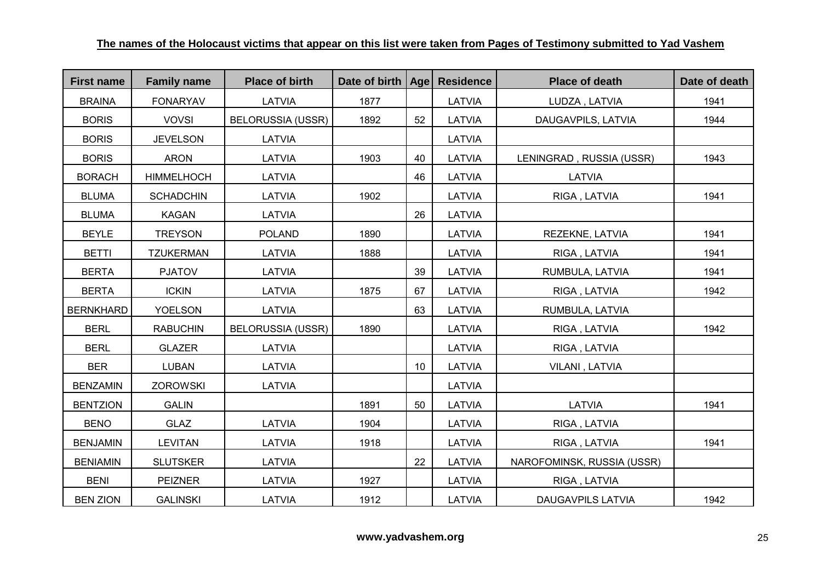| <b>First name</b> | <b>Family name</b> | <b>Place of birth</b>    | Date of birth   Age   Residence |    |               | <b>Place of death</b>      | Date of death |
|-------------------|--------------------|--------------------------|---------------------------------|----|---------------|----------------------------|---------------|
| <b>BRAINA</b>     | <b>FONARYAV</b>    | LATVIA                   | 1877                            |    | LATVIA        | LUDZA, LATVIA              | 1941          |
| <b>BORIS</b>      | <b>VOVSI</b>       | <b>BELORUSSIA (USSR)</b> | 1892                            | 52 | LATVIA        | DAUGAVPILS, LATVIA         | 1944          |
| <b>BORIS</b>      | <b>JEVELSON</b>    | LATVIA                   |                                 |    | LATVIA        |                            |               |
| <b>BORIS</b>      | <b>ARON</b>        | LATVIA                   | 1903                            | 40 | LATVIA        | LENINGRAD, RUSSIA (USSR)   | 1943          |
| <b>BORACH</b>     | <b>HIMMELHOCH</b>  | LATVIA                   |                                 | 46 | LATVIA        | <b>LATVIA</b>              |               |
| <b>BLUMA</b>      | <b>SCHADCHIN</b>   | LATVIA                   | 1902                            |    | LATVIA        | RIGA, LATVIA               | 1941          |
| <b>BLUMA</b>      | <b>KAGAN</b>       | <b>LATVIA</b>            |                                 | 26 | <b>LATVIA</b> |                            |               |
| <b>BEYLE</b>      | <b>TREYSON</b>     | <b>POLAND</b>            | 1890                            |    | LATVIA        | REZEKNE, LATVIA            | 1941          |
| <b>BETTI</b>      | <b>TZUKERMAN</b>   | LATVIA                   | 1888                            |    | LATVIA        | RIGA, LATVIA               | 1941          |
| <b>BERTA</b>      | <b>PJATOV</b>      | LATVIA                   |                                 | 39 | LATVIA        | RUMBULA, LATVIA            | 1941          |
| <b>BERTA</b>      | <b>ICKIN</b>       | LATVIA                   | 1875                            | 67 | LATVIA        | RIGA, LATVIA               | 1942          |
| <b>BERNKHARD</b>  | <b>YOELSON</b>     | LATVIA                   |                                 | 63 | LATVIA        | RUMBULA, LATVIA            |               |
| <b>BERL</b>       | <b>RABUCHIN</b>    | <b>BELORUSSIA (USSR)</b> | 1890                            |    | <b>LATVIA</b> | RIGA, LATVIA               | 1942          |
| <b>BERL</b>       | <b>GLAZER</b>      | LATVIA                   |                                 |    | LATVIA        | RIGA, LATVIA               |               |
| <b>BER</b>        | <b>LUBAN</b>       | LATVIA                   |                                 | 10 | LATVIA        | VILANI, LATVIA             |               |
| <b>BENZAMIN</b>   | <b>ZOROWSKI</b>    | LATVIA                   |                                 |    | <b>LATVIA</b> |                            |               |
| <b>BENTZION</b>   | <b>GALIN</b>       |                          | 1891                            | 50 | LATVIA        | LATVIA                     | 1941          |
| <b>BENO</b>       | <b>GLAZ</b>        | LATVIA                   | 1904                            |    | LATVIA        | RIGA, LATVIA               |               |
| <b>BENJAMIN</b>   | <b>LEVITAN</b>     | LATVIA                   | 1918                            |    | LATVIA        | RIGA, LATVIA               | 1941          |
| <b>BENIAMIN</b>   | <b>SLUTSKER</b>    | LATVIA                   |                                 | 22 | LATVIA        | NAROFOMINSK, RUSSIA (USSR) |               |
| <b>BENI</b>       | <b>PEIZNER</b>     | LATVIA                   | 1927                            |    | LATVIA        | RIGA, LATVIA               |               |
| <b>BEN ZION</b>   | <b>GALINSKI</b>    | LATVIA                   | 1912                            |    | LATVIA        | <b>DAUGAVPILS LATVIA</b>   | 1942          |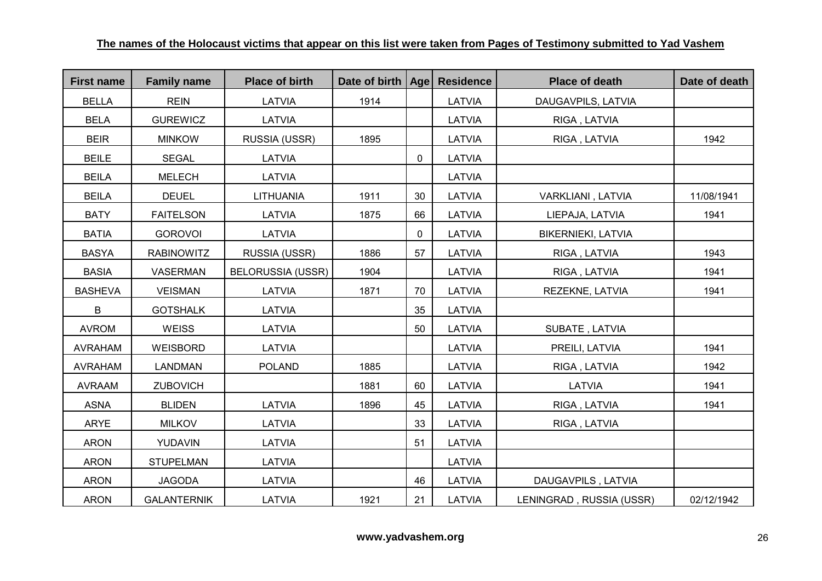| <b>First name</b> | <b>Family name</b> | <b>Place of birth</b>    | Date of birth   Age |    | <b>Residence</b> | <b>Place of death</b>    | Date of death |
|-------------------|--------------------|--------------------------|---------------------|----|------------------|--------------------------|---------------|
| <b>BELLA</b>      | <b>REIN</b>        | LATVIA                   | 1914                |    | LATVIA           | DAUGAVPILS, LATVIA       |               |
| <b>BELA</b>       | <b>GUREWICZ</b>    | LATVIA                   |                     |    | LATVIA           | RIGA, LATVIA             |               |
| <b>BEIR</b>       | <b>MINKOW</b>      | RUSSIA (USSR)            | 1895                |    | LATVIA           | RIGA, LATVIA             | 1942          |
| <b>BEILE</b>      | <b>SEGAL</b>       | LATVIA                   |                     | 0  | LATVIA           |                          |               |
| <b>BEILA</b>      | <b>MELECH</b>      | LATVIA                   |                     |    | LATVIA           |                          |               |
| <b>BEILA</b>      | <b>DEUEL</b>       | <b>LITHUANIA</b>         | 1911                | 30 | LATVIA           | VARKLIANI, LATVIA        | 11/08/1941    |
| <b>BATY</b>       | <b>FAITELSON</b>   | LATVIA                   | 1875                | 66 | LATVIA           | LIEPAJA, LATVIA          | 1941          |
| <b>BATIA</b>      | <b>GOROVOI</b>     | LATVIA                   |                     | 0  | LATVIA           | BIKERNIEKI, LATVIA       |               |
| <b>BASYA</b>      | <b>RABINOWITZ</b>  | RUSSIA (USSR)            | 1886                | 57 | LATVIA           | RIGA, LATVIA             | 1943          |
| <b>BASIA</b>      | VASERMAN           | <b>BELORUSSIA (USSR)</b> | 1904                |    | LATVIA           | RIGA, LATVIA             | 1941          |
| <b>BASHEVA</b>    | <b>VEISMAN</b>     | LATVIA                   | 1871                | 70 | LATVIA           | REZEKNE, LATVIA          | 1941          |
| B                 | <b>GOTSHALK</b>    | LATVIA                   |                     | 35 | LATVIA           |                          |               |
| <b>AVROM</b>      | <b>WEISS</b>       | LATVIA                   |                     | 50 | LATVIA           | SUBATE, LATVIA           |               |
| <b>AVRAHAM</b>    | WEISBORD           | LATVIA                   |                     |    | LATVIA           | PREILI, LATVIA           | 1941          |
| <b>AVRAHAM</b>    | <b>LANDMAN</b>     | <b>POLAND</b>            | 1885                |    | LATVIA           | RIGA, LATVIA             | 1942          |
| <b>AVRAAM</b>     | <b>ZUBOVICH</b>    |                          | 1881                | 60 | LATVIA           | LATVIA                   | 1941          |
| <b>ASNA</b>       | <b>BLIDEN</b>      | LATVIA                   | 1896                | 45 | LATVIA           | RIGA, LATVIA             | 1941          |
| <b>ARYE</b>       | <b>MILKOV</b>      | LATVIA                   |                     | 33 | LATVIA           | RIGA, LATVIA             |               |
| <b>ARON</b>       | YUDAVIN            | LATVIA                   |                     | 51 | LATVIA           |                          |               |
| <b>ARON</b>       | <b>STUPELMAN</b>   | LATVIA                   |                     |    | LATVIA           |                          |               |
| <b>ARON</b>       | <b>JAGODA</b>      | LATVIA                   |                     | 46 | LATVIA           | DAUGAVPILS, LATVIA       |               |
| <b>ARON</b>       | <b>GALANTERNIK</b> | LATVIA                   | 1921                | 21 | LATVIA           | LENINGRAD, RUSSIA (USSR) | 02/12/1942    |